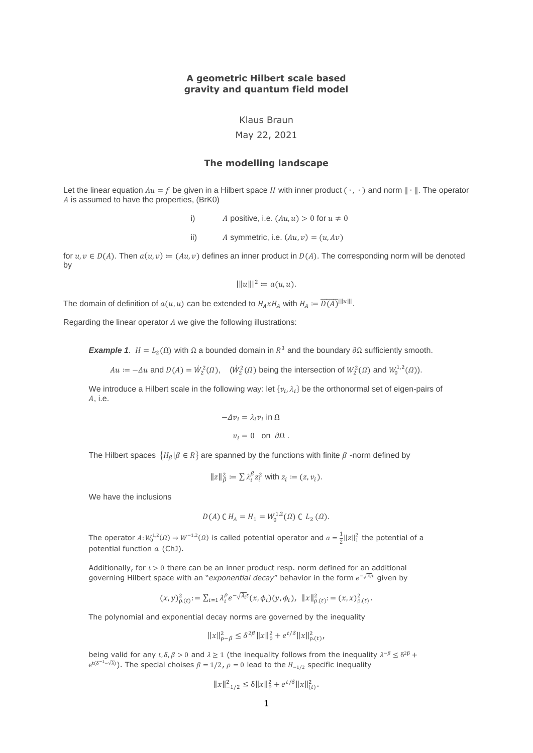# **A geometric Hilbert scale based gravity and quantum field model**

Klaus Braun

May 22, 2021

## **The modelling landscape**

Let the linear equation  $Au = f$  be given in a Hilbert space H with inner product  $(\cdot, \cdot)$  and norm  $\|\cdot\|$ . The operator  $A$  is assumed to have the properties, (BrK0)

i) A positive, i.e.  $(Au, u) > 0$  for  $u \neq 0$ 

ii) A symmetric, i.e.  $(Au, v) = (u, Av)$ 

for  $u, v \in D(A)$ . Then  $a(u, v) := (Au, v)$  defines an inner product in  $D(A)$ . The corresponding norm will be denoted by

$$
|||u|||^2 := a(u, u).
$$

The domain of definition of  $a(u, u)$  can be extended to  $H_A x H_A$  with  $H_A \coloneqq \overline{D(A)}^{\|\|u\|\|}.$ 

Regarding the linear operator  $A$  we give the following illustrations:

*Example 1.*  $H = L_2(\Omega)$  with  $\Omega$  a bounded domain in  $R^3$  and the boundary  $\partial \Omega$  sufficiently smooth.

 $Au = -\Delta u$  and  $D(A) = \dot{W}_2^2(\Omega)$ ,  $(\dot{W}_2^2(\Omega)$  being the intersection of  $W_2^2(\Omega)$  and  $W_0^{1,2}(\Omega)$ ).

We introduce a Hilbert scale in the following way: let  $\{v_i,\lambda_i\}$  be the orthonormal set of eigen-pairs of A, i.e.

$$
-\Delta v_i = \lambda_i v_i \text{ in } \Omega
$$
  

$$
v_i = 0 \text{ on } \partial \Omega.
$$

The Hilbert spaces  $\,\{H_\beta\,|\, \beta\in R\}\,$  are spanned by the functions with finite  $\beta$  -norm defined by

$$
||z||_{\beta}^{2} := \sum \lambda_{i}^{\beta} z_{i}^{2} \text{ with } z_{i} := (z, v_{i}).
$$

We have the inclusions

$$
D(A) C H_A = H_1 = W_0^{1,2}(\Omega) C L_2(\Omega).
$$

The operator  $A: W_0^{1,2}(\Omega) \to W^{-1,2}(\Omega)$  is called potential operator and  $a = \frac{1}{2}$  $\frac{1}{2}$ ||z|| $\frac{2}{1}$  the potential of a potential function  $a$  (ChJ).

Additionally, for  $t > 0$  there can be an inner product resp. norm defined for an additional governing Hilbert space with an "exponential decay" behavior in the form e<sup>-√λ</sup>i<sup>t</sup> given by

$$
(x,y)_{\rho.(t)}^2 = \sum_{i=1} \lambda_i^{\rho} e^{-\sqrt{\lambda_i}t} (x,\phi_i)(y,\phi_i), \ \ ||x||_{\rho.(t)}^2 = (x,x)_{\rho.(t)}^2.
$$

The polynomial and exponential decay norms are governed by the inequality

$$
||x||_{\rho-\beta}^2 \le \delta^{2\beta} ||x||_{\rho}^2 + e^{t/\delta} ||x||_{\rho.(t)}^2,
$$

being valid for any  $t, \delta, \beta > 0$  and  $\lambda \ge 1$  (the inequality follows from the inequality  $\lambda^{-\beta} \le \delta^{2\beta}$  +  $e^{t(\delta^{-1}-\sqrt{\lambda})}$ ). The special choises  $\beta = 1/2$ ,  $\rho = 0$  lead to the  $H_{-1/2}$  specific inequality

$$
||x||_{-1/2}^2 \le \delta ||x||_{\rho}^2 + e^{t/\delta} ||x||_{(t)}^2.
$$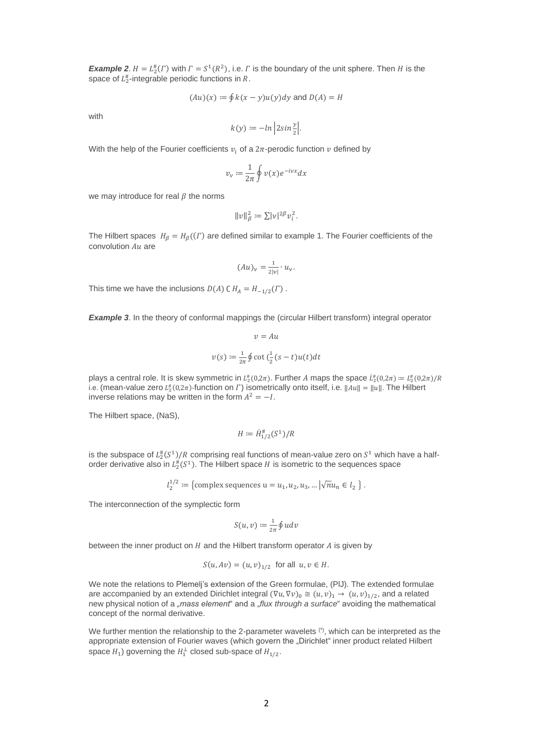**Example 2**.  $H = L_2^{\#}(F)$  with  $\Gamma = S^1(R^2)$ , i.e.  $\Gamma$  is the boundary of the unit sphere. Then  $H$  is the space of  $L_2^{\#}$ -integrable periodic functions in R.

$$
(Au)(x) := \oint k(x - y)u(y)dy
$$
 and  $D(A) = H$ 

with

$$
k(y) := -\ln \left| 2\sin \frac{y}{2} \right|.
$$

With the help of the Fourier coefficients  $v_i$  of a  $2\pi$ -perodic function  $v$  defined by

$$
v_{\nu} := \frac{1}{2\pi} \oint v(x) e^{-ivx} dx
$$

we may introduce for real  $\beta$  the norms

$$
||v||_{\beta}^2 := \sum |v|^{2\beta} v_i^2.
$$

The Hilbert spaces  $H_{\beta} = H_{\beta}((\Gamma))$  are defined similar to example 1. The Fourier coefficients of the convolution  $Au$  are

$$
(Au)_\nu = \frac{1}{2|\nu|} \cdot u_\nu.
$$

This time we have the inclusions  $D(A)$  C  $H_A = H_{-1/2}(\Gamma)$ .

**Example 3.** In the theory of conformal mappings the (circular Hilbert transform) integral operator

$$
v = Au
$$

$$
v(s) := \frac{1}{2\pi} \oint \cot\left(\frac{1}{2}(s-t)u(t)\right)dt
$$

plays a central role. It is skew symmetric in  $L^{\#}_2(0,2\pi)$ . Further A maps the space  $L^{\#}_2(0,2\pi) := L^{\#}_2(0,2\pi)/R$ i.e. (mean-value zero  $L_2^{\mu}(0,2\pi)$ -function on  $\Gamma$ ) isometrically onto itself, i.e.  $\|Au\| = \|u\|$ . The Hilbert inverse relations may be written in the form  $A^2 = -I$ .

The Hilbert space, (NaS),

$$
H := \dot{H}_{1/2}^{\#}(S^1)/R
$$

is the subspace of  $L_2^\#(S^1)/R$  comprising real functions of mean-value zero on  $S^1$  which have a halforder derivative also in  $L^{\#}_2(S^1)$ . The Hilbert space  $H$  is isometric to the sequences space

$$
l_2^{1/2}
$$
 := {complex sequences u =  $u_1, u_2, u_3, ... | \sqrt{n} u_n \in l_2$  }.

The interconnection of the symplectic form

$$
S(u,v) \coloneqq \tfrac{1}{2\pi} \oint u dv
$$

between the inner product on  $H$  and the Hilbert transform operator  $A$  is given by

$$
S(u, Av) = (u, v)_{1/2}
$$
 for all  $u, v \in H$ .

We note the relations to Plemelj's extension of the Green formulae, (PlJ). The extended formulae are accompanied by an extended Dirichlet integral  $(\nabla u, \nabla v)_0 \cong (u, v)_1 \to (u, v)_{1/2}$ , and a related new physical notion of a "mass element" and a "flux through a surface" avoiding the mathematical concept of the normal derivative.

We further mention the relationship to the 2-parameter wavelets (\*), which can be interpreted as the appropriate extension of Fourier waves (which govern the "Dirichlet" inner product related Hilbert space  $H_1$ ) governing the  $H_1^{\perp}$  closed sub-space of  $H_{1/2}$ .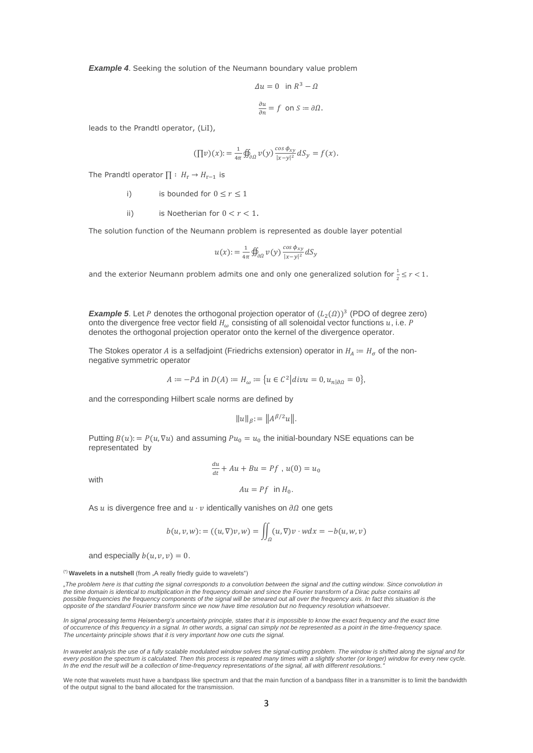**Example 4.** Seeking the solution of the Neumann boundary value problem

$$
\Delta u = 0 \text{ in } R^3 - \Omega
$$

$$
\frac{\partial u}{\partial n} = f \text{ on } S := \partial \Omega.
$$

leads to the Prandtl operator, (LiI),

$$
(\Pi v)(x) := \frac{1}{4\pi} \oint_{\partial\Omega} v(y) \frac{\cos \phi_{xy}}{|x - y|^2} dS_y = f(x).
$$

The Prandtl operator  $\Pi : H_r \to H_{r-1}$  is

- i) is bounded for  $0 \le r \le 1$
- ii) is Noetherian for  $0 < r < 1$ .

The solution function of the Neumann problem is represented as double layer potential

$$
u(x) := \frac{1}{4\pi} \oint_{\partial \Omega} v(y) \frac{\cos \phi_{xy}}{|x - y|^2} dS_y
$$

and the exterior Neumann problem admits one and only one generalized solution for  $\frac{1}{2} \leq r < 1$ .

**Example 5.** Let P denotes the orthogonal projection operator of  $(L_2(\Omega))^3$  (PDO of degree zero) onto the divergence free vector field  $H_{\omega}$  consisting of all solenoidal vector functions  $u$ , i.e. P denotes the orthogonal projection operator onto the kernel of the divergence operator.

The Stokes operator A is a selfadjoint (Friedrichs extension) operator in  $H_A := H_{\sigma}$  of the nonnegative symmetric operator

$$
A \coloneqq -P\Delta \text{ in } D(A) \coloneqq H_{\omega} \coloneqq \{ u \in C^2 | \text{div} u = 0, u_{n | \partial \Omega} = 0 \},
$$

and the corresponding Hilbert scale norms are defined by

$$
||u||_{\beta} := ||A^{\beta/2}u||.
$$

Putting  $B(u)$ : =  $P(u, \nabla u)$  and assuming  $Pu_0 = u_0$  the initial-boundary NSE equations can be representated by

with

$$
\frac{du}{dt} + Au + Bu = Pf, u(0) = u_0
$$
  

$$
Au = Pf \text{ in } H_0.
$$

As  $u$  is divergence free and  $u \cdot v$  identically vanishes on  $\partial \Omega$  one gets

$$
b(u, v, w) := ((u, \nabla)v, w) = \iint_{\Omega} (u, \nabla)v \cdot w dx = -b(u, w, v)
$$

and especially  $b(u, v, v) = 0$ .

(\*) Wavelets in a nutshell (from "A really friedly guide to wavelets")

*"The problem here is that cutting the signal corresponds to a convolution between the signal and the cutting window. Since convolution in the time domain is identical to multiplication in the frequency domain and since the Fourier transform of a Dirac pulse contains all*  possible frequencies the frequency components of the signal will be smeared out all over the frequency axis. In fact this situation is the *opposite of the standard Fourier transform since we now have time resolution but no frequency resolution whatsoever.* 

In signal processing terms Heisenberg's uncertainty principle, states that it is impossible to know the exact frequency and the exact time *of occurrence of this frequency in a signal. In other words, a signal can simply not be represented as a point in the time-frequency space. The uncertainty principle shows that it is very important how one cuts the signal.*

*In wavelet analysis the use of a fully scalable modulated window solves the signal-cutting problem. The window is shifted along the signal and for*  every position the spectrum is calculated. Then this process is repeated many times with a slightly shorter (or longer) window for every new cycle. *In the end the result will be a collection of time-frequency representations of the signal, all with different resolutions."*

We note that wavelets must have a bandpass like spectrum and that the main function of a bandpass filter in a transmitter is to limit the bandwidth of the output signal to the band allocated for the transmission.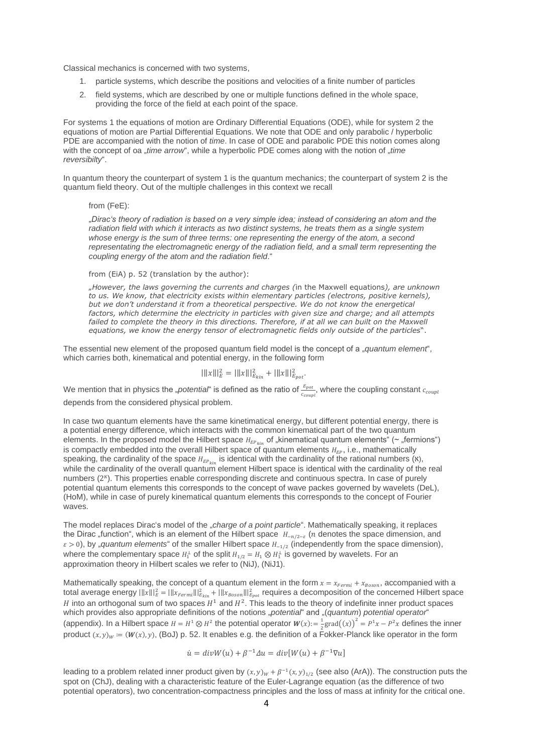Classical mechanics is concerned with two systems,

- 1. particle systems, which describe the positions and velocities of a finite number of particles
- 2. field systems, which are described by one or multiple functions defined in the whole space, providing the force of the field at each point of the space.

For systems 1 the equations of motion are Ordinary Differential Equations (ODE), while for system 2 the equations of motion are Partial Differential Equations. We note that ODE and only parabolic / hyperbolic PDE are accompanied with the notion of *time*. In case of ODE and parabolic PDE this notion comes along with the concept of oa *"time arrow*", while a hyperbolic PDE comes along with the notion of *"time reversibilty*".

In quantum theory the counterpart of system 1 is the quantum mechanics; the counterpart of system 2 is the quantum field theory. Out of the multiple challenges in this context we recall

#### from (FeE):

"*Dirac's theory of radiation is based on a very simple idea; instead of considering an atom and the radiation field with which it interacts as two distinct systems, he treats them as a single system whose energy is the sum of three terms: one representing the energy of the atom, a second representating the electromagnetic energy of the radiation field, and a small term representing the coupling energy of the atom and the radiation field*."

## from (EiA) p. 52 (translation by the author):

"*However, the laws governing the currents and charges (*in the Maxwell equations*), are unknown to us. We know, that electricity exists within elementary particles (electrons, positive kernels), but we don't understand it from a theoretical perspective. We do not know the energetical factors, which determine the electricity in particles with given size and charge; and all attempts*  failed to complete the theory in this directions. Therefore, if at all we can built on the Maxwell *equations, we know the energy tensor of electromagnetic fields only outside of the particles*".

The essential new element of the proposed quantum field model is the concept of a *"quantum element*". which carries both, kinematical and potential energy, in the following form

$$
|\|x\||_{E}^{2} = |\|x\||_{E_{kin}}^{2} + |\|x\||_{E_{pot}}^{2}.
$$

We mention that in physics the "*potential*" is defined as the ratio of  $\frac{E_{pot}}{c_{coupl}},$  where the coupling constant  $c_{coupl}$ depends from the considered physical problem.

In case two quantum elements have the same kinetimatical energy, but different potential energy, there is a potential energy difference, which interacts with the common kinematical part of the two quantum elements. In the proposed model the Hilbert space  $H_{EP_{kin}}$  of "kinematical quantum elements" ( $\sim$  "fermions") is compactly embedded into the overall Hilbert space of quantum elements  $H_{EP}$ , i.e., mathematically speaking, the cardinality of the space  $H_{EP_{kin}}$  is identical with the cardinality of the rational numbers ( $\aleph$ ), while the cardinality of the overall quantum element Hilbert space is identical with the cardinality of the real numbers (2<sup>x</sup>). This properties enable corresponding discrete and continuous spectra. In case of purely potential quantum elements this corresponds to the concept of wave packes governed by wavelets (DeL), (HoM), while in case of purely kinematical quantum elements this corresponds to the concept of Fourier waves.

The model replaces Dirac's model of the "*charge of a point particle*". Mathematically speaking, it replaces the Dirac "function", which is an element of the Hilbert space  $H_{-\eta/2-\varepsilon}$  (n denotes the space dimension, and  $\varepsilon > 0$ , by "*quantum elements*" of the smaller Hilbert space  $H_{-1/2}$  (independently from the space dimension), where the complementary space  $H_1^{\perp}$  of the split  $H_{1/2} = H_1 \otimes H_1^{\perp}$  is governed by wavelets. For an approximation theory in Hilbert scales we refer to (NiJ), (NiJ1).

Mathematically speaking, the concept of a quantum element in the form  $x = x_{Fermi} + x_{Boson}$ , accompanied with a total average energy  $\|\|x\|\|_E^2=\|\|x_{\mathit{Fermi}}\|\|_{E_{kin}}^2+\|\|x_{\mathit{Boson}}\|\|_{E_{pot}}^2$  requires a decomposition of the concerned Hilbert space H into an orthogonal sum of two spaces  $H^1$  and  $H^2$ . This leads to the theory of indefinite inner product spaces which provides also appropriate definitions of the notions "potential" and "(quantum) potential operator" (appendix). In a Hilbert space  $H = H^1 \otimes H^2$  the potential operator  $W(x) = \frac{1}{2} \text{grad}(x)^2 = P^1 x - P^2 x$  defines the inner product  $(x, y)_w = (W(x), y)$ , (BoJ) p. 52. It enables e.g. the definition of a Fokker-Planck like operator in the form

$$
\dot{u} = \text{div}W(u) + \beta^{-1}\Delta u = \text{div}[W(u) + \beta^{-1}\nabla u]
$$

leading to a problem related inner product given by  $(x, y)_W + \beta^{-1}(x, y)_{1/2}$  (see also (ArA)). The construction puts the spot on (ChJ), dealing with a characteristic feature of the Euler-Lagrange equation (as the difference of two potential operators), two concentration-compactness principles and the loss of mass at infinity for the critical one.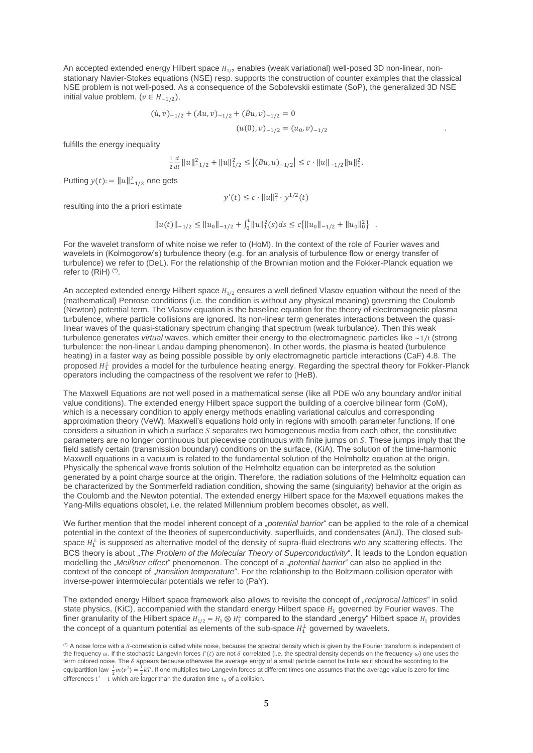An accepted extended energy Hilbert space  $H_{1/2}$  enables (weak variational) well-posed 3D non-linear, nonstationary Navier-Stokes equations (NSE) resp. supports the construction of counter examples that the classical NSE problem is not well-posed. As a consequence of the Sobolevskii estimate (SoP), the generalized 3D NSE initial value problem,  $(v \in H_{-1/2})$ ,

$$
(\dot{u}, v)_{-1/2} + (Au, v)_{-1/2} + (Bu, v)_{-1/2} = 0
$$
  

$$
(u(0), v)_{-1/2} = (u_0, v)_{-1/2}
$$

fulfills the energy inequality

$$
\frac{1}{2}\frac{d}{dt}||u||_{-1/2}^2 + ||u||_{1/2}^2 \le |(Bu, u)_{-1/2}| \le c \cdot ||u||_{-1/2}||u||_1^2.
$$

Putting  $y(t) := ||u||^2_{-1/2}$  one gets

$$
y'(t) \le c \cdot ||u||_1^2 \cdot y^{1/2}(t)
$$

resulting into the a priori estimate

$$
||u(t)||_{-1/2} \le ||u_0||_{-1/2} + \int_0^t ||u||_1^2(s)ds \le c\{||u_0||_{-1/2} + ||u_0||_0^2\}.
$$

For the wavelet transform of white noise we refer to (HoM). In the context of the role of Fourier waves and wavelets in (Kolmogorow's) turbulence theory (e.g. for an analysis of turbulence flow or energy transfer of turbulence) we refer to (DeL). For the relationship of the Brownian motion and the Fokker-Planck equation we refer to (RiH)<sup>(\*)</sup>.

An accepted extended energy Hilbert space  $H_{1/2}$  ensures a well defined Vlasov equation without the need of the (mathematical) Penrose conditions (i.e. the condition is without any physical meaning) governing the Coulomb (Newton) potential term. The Vlasov equation is the baseline equation for the theory of electromagnetic plasma turbulence, where particle collisions are ignored. Its non-linear term generates interactions between the quasilinear waves of the quasi-stationary spectrum changing that spectrum (weak turbulance). Then this weak turbulence generates *virtual* waves, which emitter their energy to the electromagnetic particles like ~1/t (strong turbulence: the non-linear Landau damping phenomenon). In other words, the plasma is heated (turbulence heating) in a faster way as being possible possible by only electromagnetic particle interactions (CaF) 4.8. The proposed  $H_1^{\perp}$  provides a model for the turbulence heating energy. Regarding the spectral theory for Fokker-Planck operators including the compactness of the resolvent we refer to (HeB).

The Maxwell Equations are not well posed in a mathematical sense (like all PDE w/o any boundary and/or initial value conditions). The extended energy Hilbert space support the building of a coercive bilinear form (CoM), which is a necessary condition to apply energy methods enabling variational calculus and corresponding approximation theory (VeW). Maxwell's equations hold only in regions with smooth parameter functions. If one considers a situation in which a surface  $S$  separates two homogeneous media from each other, the constitutive parameters are no longer continuous but piecewise continuous with finite jumps on S. These jumps imply that the field satisfy certain (transmission boundary) conditions on the surface, (KiA). The solution of the time-harmonic Maxwell equations in a vacuum is related to the fundamental solution of the Helmholtz equation at the origin. Physically the spherical wave fronts solution of the Helmholtz equation can be interpreted as the solution generated by a point charge source at the origin. Therefore, the radiation solutions of the Helmholtz equation can be characterized by the Sommerfeld radiation condition, showing the same (singularity) behavior at the origin as the Coulomb and the Newton potential. The extended energy Hilbert space for the Maxwell equations makes the Yang-Mills equations obsolet, i.e. the related Millennium problem becomes obsolet. as well.

We further mention that the model inherent concept of a *"potential barrior*" can be applied to the role of a chemical potential in the context of the theories of superconductivity, superfluids, and condensates (AnJ). The closed subspace  $H_1^{\perp}$  is supposed as alternative model of the density of supra-fluid electrons w/o any scattering effects. The BCS theory is about "*The Problem of the Molecular Theory of Superconductivity*". It leads to the London equation modelling the "*Meißner effect*" phenomenon. The concept of a "*potential barrior*" can also be applied in the context of the concept of "*transition temperature*". For the relationship to the Boltzmann collision operator with inverse-power intermolecular potentials we refer to (PaY).

The extended energy Hilbert space framework also allows to revisite the concept of "*reciprocal lattices*" in solid state physics, (KiC), accompanied with the standard energy Hilbert space  $H_1$  governed by Fourier waves. The finer granularity of the Hilbert space  $H_{1/2} = H_1 \otimes H_1^\perp$  compared to the standard "energy" Hilbert space  $H_1$  provides the concept of a quantum potential as elements of the sub-space  $H_1^{\perp}$  governed by wavelets.

 $(')$  A noise force with a  $\delta$ -correlation is called white noise, because the spectral density which is given by the Fourier transform is independent of the frequency  $\omega$ . If the stochastic Langevin forces  $\Gamma(t)$  are not  $\delta$  correlated (i.e. the spectral density depends on the frequency  $\omega$ ) one uses the term colored noise. The  $\delta$  appears because otherwise the average enrgy of a small particle cannot be finite as it should be according to the equipartition law  $\frac{1}{2}m(v^2) = \frac{1}{2}kT$ . If one multiplies two Langevin forces at different times one assumes that the average value is zero for time differences  $t' - t$  which are larger than the duration time  $\tau_0$  of a collision.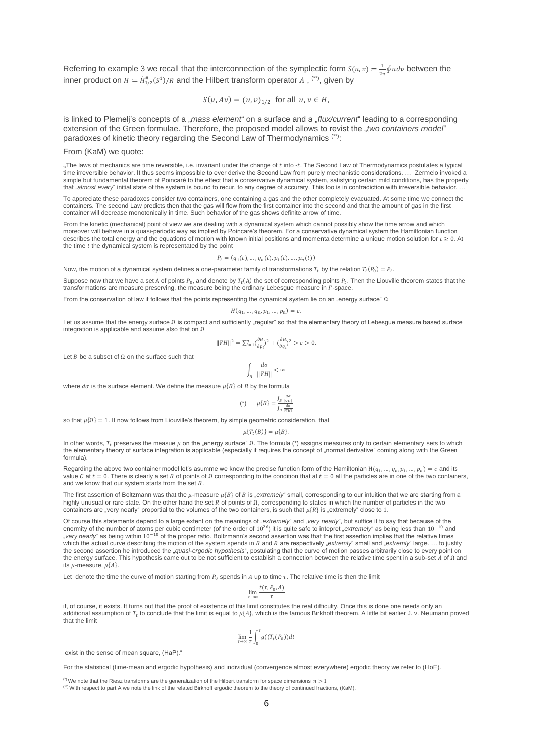Referring to example 3 we recall that the interconnection of the symplectic form  $S(u, v) = \frac{1}{2}$  $\frac{1}{2\pi}\oint u dv$  between the inner product on  $H \coloneqq \dot{H}_{1/2}^*(S^1)/R$  and the Hilbert transform operator  $A$  , <sup>(\*\*)</sup>, given by

$$
S(u, Av) = (u, v)_{1/2}
$$
 for all  $u, v \in H$ ,

is linked to Plemelj's concepts of a *"mass element*" on a surface and a "*flux/current*" leading to a corresponding extension of the Green formulae. Therefore, the proposed model allows to revist the "*two containers model*" paradoxes of kinetic theory regarding the Second Law of Thermodynamics (\*\*):

From (KaM) we quote:

"The laws of mechanics are time reversible, i.e. invariant under the change of t into -t. The Second Law of Thermodynamics postulates a typical time irreversible behavior. It thus seems impossible to ever derive the Second Law from purely mechanistic considerations. … Zermelo invoked a simple but fundamental theorem of Poincaré to the effect that a conservative dynamical system, satisfying certain mild conditions, has the property that *"almost every*" initial state of the system is bound to recur, to any degree of accurary. This too is in contradiction with irreversible behavior. ..

To appreciate these paradoxes consider two containers, one containing a gas and the other completely evacuated. At some time we connect the containers. The second Law predicts then that the gas will flow from the first container into the second and that the amount of gas in the first container will decrease monotonically in time. Such behavior of the gas shows definite arrow of time.

From the kinetic (mechanical) point of view we are dealing with a dynamical system which cannot possibly show the time arrow and which moreover will behave in a quasi-periodic way as implied by Poincaré's theorem. For a conservative dynamical system the Hamiltonian function describes the total energy and the equations of motion with known initial positions and momenta determine a unique motion solution for  $t \geq 0$ . At the time  $t$  the dynamical system is representated by the point

$$
P_t = (q_1(t), \dots, q_n(t), p_1(t), \dots, p_n(t))
$$

Now, the motion of a dynamical system defines a one-parameter family of transformations  $T_t$  by the relation  $T_t(P_0) = P_t$ .

Suppose now that we have a set A of points  $P_0$ , and denote by  $T_t(A)$  the set of corresponding points  $P_t$ . Then the Liouville theorem states that the transformations are measure preserving, the measure being the ordinary Lebesgue measure in  $\Gamma$ -space.

From the conservation of law it follows that the points representing the dynamical system lie on an "energy surface"  $\Omega$ 

$$
H(q_1,\ldots,q_n,p_1,\ldots,p_n)=c.
$$

Let us assume that the energy surface Ω is compact and sufficiently "regular" so that the elementary theory of Lebesgue measure based surface integration is applicable and assume also that on Ω

$$
\|\nabla H\|^2 = \sum_{i=1}^n \left(\frac{\partial H}{\partial p_i}\right)^2 + \left(\frac{\partial H}{\partial q_i}\right)^2 > c > 0.
$$

Let  $B$  be a subset of  $\Omega$  on the surface such that

$$
\int_B \frac{d\sigma}{\|\nabla H\|} < \infty
$$

where  $d\sigma$  is the surface element. We define the measure  $\mu\{B\}$  of B by the formula

$$
(*) \qquad \mu\{B\} = \frac{\int_B \frac{d\sigma}{\|\nabla H\|}}{\int_B \frac{d\sigma}{\|\nabla H\|}}
$$

so that  $\mu\{\Omega\} = 1$ . It now follows from Liouville's theorem, by simple geometric consideration, that

$$
\mu\{T_t(B)\}=\mu\{B\}.
$$

In other words,  $T_t$  preserves the measue  $μ$  on the "energy surface"  $Ω$ . The formula (\*) assigns measures only to certain elementary sets to which the elementary theory of surface integration is applicable (especially it requires the concept of "normal derivative" coming along with the Green formula).

Regarding the above two container model let's asumme we know the precise function form of the Hamiltonian H( $q_1, ..., q_n, p_1, ..., p_n) = c$  and its value C at  $t = 0$ . There is clearly a set B of points of Ω corresponding to the condition that at  $t = 0$  all the particles are in one of the two containers, and we know that our system starts from the set  $B$ .

The first assertion of Boltzmann was that the  $\mu$ -measure  $\mu\{B\}$  of  $B$  is "extremely" small, corresponding to our intuition that we are starting from a highly unusual or rare state. On the other hand the set  $R$  of points of  $Ω$ , corresponding to states in which the number of particles in the two containers are "very nearly" proportial to the volumes of the two containers, is such that  $\mu\{R\}$  is "extremely" close to 1.

Of course this statements depend to a large extent on the meanings of "extremely" and "very nearly", but suffice it to say that because of the enormity of the number of atoms per cubic centimeter (of the order of 10<sup>26</sup>) it is quite safe to intepret "extremely" as being less than 10<sup>-10</sup> and "*very nearly"* as being within 10<sup>−10</sup> of the proper ratio. Boltzmann's second assertion was that the first assertion implies that the relative times which the actual curve describing the motion of the system spends in B and R are respectively "extremly" small and "extremly" large. ... to justify the second assertion he introduced the "*quasi-ergodic hypothesis*", postulating that the curve of motion passes arbitrarily close to every point on the energy surface. This hypothesis came out to be not sufficient to establish a connection between the relative time spent in a sub-set  $A$  of  $\Omega$  and its  $\mu$ -measure,  $\mu\{A\}$ .

Let denote the time the curve of motion starting from  $P_0$  spends in A up to time  $\tau$ . The relative time is then the limit

$$
\lim_{\tau\to\infty}\frac{t(\tau,P_0,A)}{\tau}
$$

if, of course, it exists. It turns out that the proof of existence of this limit constitutes the real difficulty. Once this is done one needs only an additional assumption of  $T_t$  to conclude that the limit is equal to  $\mu\{A\}$ , which is the famous Birkhoff theorem. A little bit earlier J. v. Neumann proved that the limit

$$
\lim_{\tau\to\infty}\frac{1}{\tau}\int_0^\tau g((T_t(P_0))dt
$$

exist in the sense of mean square, (HaP)."

For the statistical (time-mean and ergodic hypothesis) and individual (convergence almost everywhere) ergodic theory we refer to (HoE).

(\*) We note that the Riesz transforms are the generalization of the Hilbert transform for space dimensions  $n > 1$ (\*\*) With respect to part A we note the link of the related Birkhoff ergodic theorem to the theory of continued fractions, (KaM).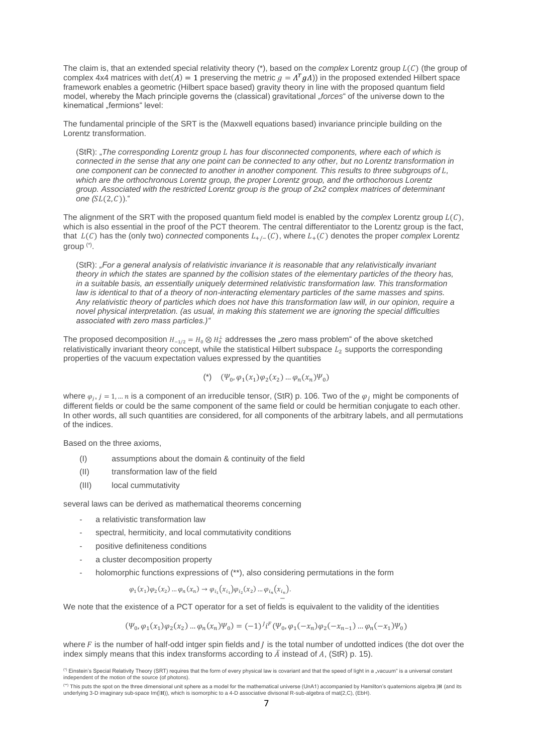The claim is, that an extended special relativity theory (\*), based on the *complex* Lorentz group  $L(C)$  (the group of complex 4x4 matrices with  $det(A) = 1$  preserving the metric  $g = A^T g A$ ) in the proposed extended Hilbert space framework enables a geometric (Hilbert space based) gravity theory in line with the proposed quantum field model, whereby the Mach principle governs the (classical) gravitational *forces*" of the universe down to the kinematical ..fermions" level:

The fundamental principle of the SRT is the (Maxwell equations based) invariance principle building on the Lorentz transformation.

(StR): "*The corresponding Lorentz group has four disconnected components, where each of which is*  connected in the sense that any one point can be connected to any other, but no Lorentz transformation in *one component can be connected to another in another component. This results to three subgroups of ,*  which are the orthochronous Lorentz group, the proper Lorentz group, and the orthochorous Lorentz *group. Associated with the restricted Lorentz group is the group of 2x2 complex matrices of determinant one*  $(SL(2, C))$ ."

The alignment of the SRT with the proposed quantum field model is enabled by the *complex* Lorentz group  $L(C)$ , which is also essential in the proof of the PCT theorem. The central differentiator to the Lorentz group is the fact, that  $L(C)$  has the (only two) *connected* components  $L_{+/-}(C)$ , where  $L_{+}(C)$  denotes the proper *complex* Lorentz group (\*) .

(StR): *"For a general analysis of relativistic invariance it is reasonable that any relativistically invariant theory in which the states are spanned by the collision states of the elementary particles of the theory has, in a suitable basis, an essentially uniquely determined relativistic transformation law. This transformation law is identical to that of a theory of non-interacting elementary particles of the same masses and spins. Any relativistic theory of particles which does not have this transformation law will, in our opinion, require a novel physical interpretation. (as usual, in making this statement we are ignoring the special difficulties associated with zero mass particles.)"*

The proposed decomposition  $H_{-1/2} = H_0 \otimes H_0^{\perp}$  addresses the "zero mass problem" of the above sketched relativistically invariant theory concept, while the statistical Hilbert subspace  $L_2$  supports the corresponding properties of the vacuum expectation values expressed by the quantities

$$
(\texttt{``})\quad (\Psi_0, \varphi_1(x_1)\varphi_2(x_2)\dots \varphi_n(x_n)\Psi_0)
$$

where  $\varphi_j$ ,  $j=1,...n$  is a component of an irreducible tensor, (StR) p. 106. Two of the  $\varphi_j$  might be components of different fields or could be the same component of the same field or could be hermitian conjugate to each other. In other words, all such quantities are considered, for all components of the arbitrary labels, and all permutations of the indices.

Based on the three axioms,

- (I) assumptions about the domain & continuity of the field
- (II) transformation law of the field
- (III) local cummutativity

several laws can be derived as mathematical theorems concerning

- a relativistic transformation law
- spectral, hermiticity, and local commutativity conditions
- positive definiteness conditions
- a cluster decomposition property
- holomorphic functions expressions of (\*\*), also considering permutations in the form

$$
\varphi_1(x_1)\varphi_2(x_2)\dots\varphi_n(x_n) \to \varphi_{i_1}(x_{i_1})\varphi_{i_2}(x_2)\dots\varphi_{i_n}(x_{i_n}).
$$

− We note that the existence of a PCT operator for a set of fields is equivalent to the validity of the identities

$$
(\Psi_0, \varphi_1(x_1)\varphi_2(x_2)\dots\varphi_n(x_n)\Psi_0) = (-1)^{j} i^F (\Psi_0, \varphi_1(-x_n)\varphi_2(-x_{n-1})\dots\varphi_n(-x_1)\Psi_0)
$$

where  $F$  is the number of half-odd intger spin fields and  $I$  is the total number of undotted indices (the dot over the index simply means that this index transforms according to  $\overline{A}$  instead of A, (StR) p. 15).

<sup>&</sup>lt;sup>(\*)</sup> Einstein's Special Relativity Theory (SRT) requires that the form of every physical law is covariant and that the speed of light in a "vacuum" is a universal constant independent of the motion of the source (of photons).

<sup>&</sup>lt;sup>(\*)</sup> This puts the spot on the three dimensional unit sphere as a model for the mathematical universe (UnA1) accompanied by Hamilton's quaternions algebra |H (and its<br>underlying 3-D imaginary sub-space Im(|H)), which is i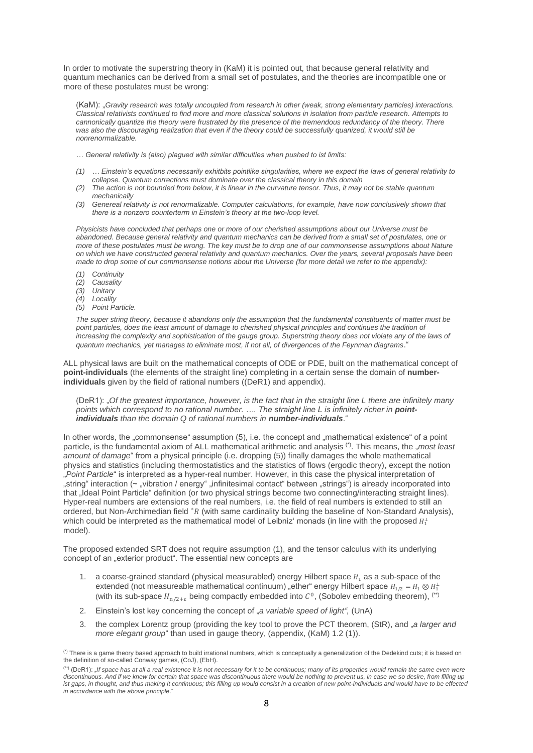In order to motivate the superstring theory in (KaM) it is pointed out, that because general relativity and quantum mechanics can be derived from a small set of postulates, and the theories are incompatible one or more of these postulates must be wrong:

(KaM): "*Gravity research was totally uncoupled from research in other (weak, strong elementary particles) interactions. Classical relativists continued to find more and more classical solutions in isolation from particle research. Attempts to cannonically quantize the theory were frustrated by the presence of the tremendous redundancy of the theory. There*  was also the discouraging realization that even if the theory could be successfully quanized, it would still be *nonrenormalizable.*

*… General relativity is (also) plagued with similar difficulties when pushed to ist limits:*

- *(1) … Einstein's equations necessarily exhitbits pointlike singularities, where we expect the laws of general relativity to collapse. Quantum corrections must dominate over the classical theory in this domain*
- *(2) The action is not bounded from below, it is linear in the curvature tensor. Thus, it may not be stable quantum mechanically*
- *(3) Genereal relativity is not renormalizable. Computer calculations, for example, have now conclusively shown that there is a nonzero counterterm in Einstein's theory at the two-loop level.*

*Physicists have concluded that perhaps one or more of our cherished assumptions about our Universe must be abandoned. Because general relativity and quantum mechanics can be derived from a small set of postulates, one or more of these postulates must be wrong. The key must be to drop one of our commonsense assumptions about Nature on which we have constructed general relativity and quantum mechanics. Over the years, several proposals have been made to drop some of our commonsense notions about the Universe (for more detail we refer to the appendix):*

- *(1) Continuity*
- *(2) Causality*
- *(3) Unitary*
- *(4) Locality*
- *(5) Point Particle.*

*The super string theory, because it abandons only the assumption that the fundamental constituents of matter must be*  point particles, does the least amount of damage to cherished physical principles and continues the tradition of *increasing the complexity and sophistication of the gauge group. Superstring theory does not violate any of the laws of quantum mechanics, yet manages to eliminate most, if not all, of divergences of the Feynman diagrams*."

ALL physical laws are built on the mathematical concepts of ODE or PDE, built on the mathematical concept of **point-individuals** (the elements of the straight line) completing in a certain sense the domain of **numberindividuals** given by the field of rational numbers ((DeR1) and appendix).

(DeR1): "Of the greatest importance, however, is the fact that in the straight line L there are infinitely many points which correspond to no rational number. .... The straight line L is infinitely richer in **point***individuals than the domain Q of rational numbers in number-individuals*."

In other words, the "commonsense" assumption (5), i.e. the concept and "mathematical existence" of a point particle, is the fundamental axiom of ALL mathematical arithmetic and analysis <sup>(\*)</sup>. This means, the "*most least amount of damage*" from a physical principle (i.e. dropping (5)) finally damages the whole mathematical physics and statistics (including thermostatistics and the statistics of flows (ergodic theory), except the notion "*Point Particle*" is interpreted as a hyper-real number. However, in this case the physical interpretation of "string" interaction (~ "vibration / energy" "infinitesimal contact" between "strings") is already incorporated into that "Ideal Point Particle" definition (or two physical strings become two connecting/interacting straight lines). Hyper-real numbers are extensions of the real numbers, i.e. the field of real numbers is extended to still an ordered, but Non-Archimedian field \*R (with same cardinality building the baseline of Non-Standard Analysis), which could be interpreted as the mathematical model of Leibniz' monads (in line with the proposed  $H_1^\perp$ model).

The proposed extended SRT does not require assumption (1), and the tensor calculus with its underlying concept of an "exterior product". The essential new concepts are

- 1. a coarse-grained standard (physical measurabled) energy Hilbert space  $H_1$  as a sub-space of the extended (not measureable mathematical continuum) "ether" energy Hilbert space  $H_{1/2} = H_1 \otimes H_1^{\perp}$ (with its sub-space  $H_{n/2+\varepsilon}$  being compactly embedded into  $\mathcal{C}^0$ , (Sobolev embedding theorem), (\*\*)
- 2. Einstein's lost key concerning the concept of "*a variable speed of light",* (UnA)
- 3. the complex Lorentz group (providing the key tool to prove the PCT theorem, (StR), and "*a larger and more elegant group*" than used in gauge theory, (appendix, (KaM) 1.2 (1)).

<sup>(\*)</sup> There is a game theory based approach to build irrational numbers, which is conceptually a generalization of the Dedekind cuts; it is based on the definition of so-called Conway games, (CoJ), (EbH).

<sup>&</sup>lt;sup>(\*\*)</sup> (DeR1): "If space has at all a real existence it is not necessary for it to be continuous; many of its properties would remain the same even were *discontinuous. And if we knew for certain that space was discontinuous there would be nothing to prevent us, in case we so desire, from filling up*  ist gaps, in thought, and thus making it continuous; this filling up would consist in a creation of new point-individuals and would have to be effected *in accordance with the above principle*."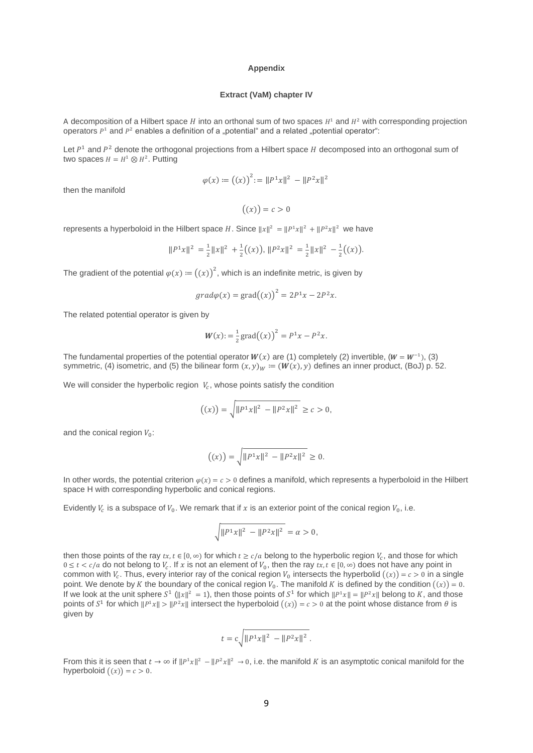#### **Appendix**

### **Extract (VaM) chapter IV**

A decomposition of a Hilbert space  $H$  into an orthonal sum of two spaces  $H^1$  and  $H^2$  with corresponding projection operators  $P^1$  and  $P^2$  enables a definition of a "potential" and a related "potential operator":

Let  $P<sup>1</sup>$  and  $P<sup>2</sup>$  denote the orthogonal projections from a Hilbert space H decomposed into an orthogonal sum of two spaces  $H = H^1 \otimes H^2$ . Putting

$$
\varphi(x) := ((x))^{2} := ||P^{1}x||^{2} - ||P^{2}x||^{2}
$$

then the manifold

 $((x)) = c > 0$ 

represents a hyperboloid in the Hilbert space H. Since  $||x||^2 = ||P^1x||^2 + ||P^2x||^2$  we have

$$
||P^1x||^2 = \frac{1}{2}||x||^2 + \frac{1}{2}((x)), ||P^2x||^2 = \frac{1}{2}||x||^2 - \frac{1}{2}((x)).
$$

The gradient of the potential  $\varphi(x) \coloneqq \bigl((x)\bigr)^2$ , which is an indefinite metric, is given by

$$
grad\varphi(x) = grad((x))^{2} = 2P^{1}x - 2P^{2}x.
$$

The related potential operator is given by

$$
W(x) := \frac{1}{2} \text{grad}((x))^2 = P^1 x - P^2 x.
$$

The fundamental properties of the potential operator  $W(x)$  are (1) completely (2) invertible, ( $W = W^{-1}$ ), (3) symmetric, (4) isometric, and (5) the bilinear form  $(x, y)_W := (W(x), y)$  defines an inner product, (BoJ) p. 52.

We will consider the hyperbolic region  $|V_c|$ , whose points satisfy the condition

$$
((x)) = \sqrt{\|P^1x\|^2 - \|P^2x\|^2} \ge c > 0,
$$

and the conical region  $V_0$ :

$$
((x)) = \sqrt{\|P^1x\|^2 - \|P^2x\|^2} \ge 0.
$$

In other words, the potential criterion  $\varphi(x) = c > 0$  defines a manifold, which represents a hyperboloid in the Hilbert space H with corresponding hyperbolic and conical regions.

Evidently  $V_c$  is a subspace of  $V_0$ . We remark that if x is an exterior point of the conical region  $V_0$ , i.e.

$$
\sqrt{\|P^1x\|^2 - \|P^2x\|^2} = \alpha > 0,
$$

then those points of the ray  $tx, t \in [0, \infty)$  for which  $t \ge c/a$  belong to the hyperbolic region  $V_c$ , and those for which  $0 \le t < c/a$  do not belong to  $V_c$ . If x is not an element of  $V_0$ , then the ray  $tx$ ,  $t \in [0,\infty)$  does not have any point in common with  $V_c$ . Thus, every interior ray of the conical region  $V_0$  intersects the hyperbolid  $((x)) = c > 0$  in a single point. We denote by K the boundary of the conical region  $V_0$ . The manifold K is defined by the condition  $((x)) = 0$ . If we look at the unit sphere  $S^1$  ( $||x||^2 = 1$ ), then those points of  $S^1$  for which  $||P^1x|| = ||P^2x||$  belong to K, and those points of  $S^1$  for which  $||P^1x|| > ||P^2x||$  intersect the hyperboloid  $((x)) = c > 0$  at the point whose distance from  $\theta$  is given by

$$
t = c \sqrt{\|P^1x\|^2 - \|P^2x\|^2}.
$$

From this it is seen that  $t \to \infty$  if  $||P^1x||^2 - ||P^2x||^2 \to 0$ , i.e. the manifold K is an asymptotic conical manifold for the hyperboloid  $((x)) = c > 0$ .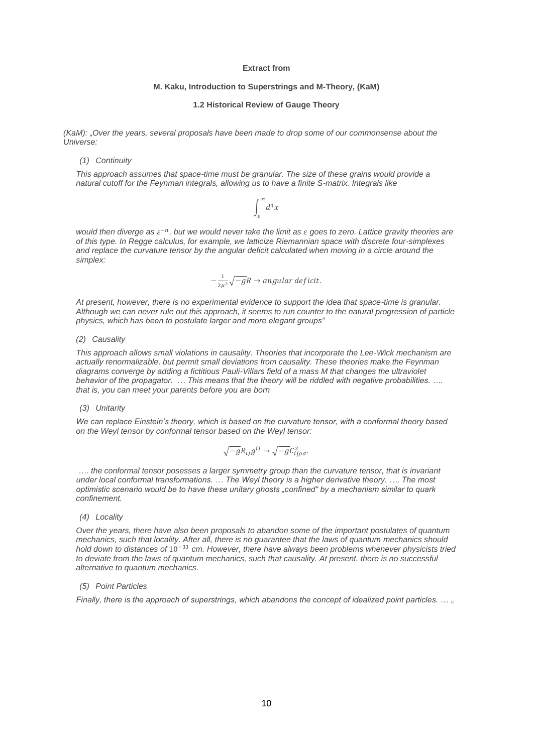# **M. Kaku, Introduction to Superstrings and M-Theory, (KaM)**

#### **1.2 Historical Review of Gauge Theory**

*(KaM): "Over the years, several proposals have been made to drop some of our commonsense about the Universe:*

*(1) Continuity* 

*This approach assumes that space-time must be granular. The size of these grains would provide a natural cutoff for the Feynman integrals, allowing us to have a finite S-matrix. Integrals like*

$$
\int_\varepsilon^\infty d^4x
$$

*would then diverge as*  $\varepsilon^{-n}$ *, but we would never take the limit as*  $\varepsilon$  *goes to zero. Lattice gravity theories are of this type. In Regge calculus, for example, we latticize Riemannian space with discrete four-simplexes and replace the curvature tensor by the angular deficit calculated when moving in a circle around the simplex:*

$$
-\frac{1}{2\mu^2}\sqrt{-g}R \rightarrow angular \; deficit.
$$

*At present, however, there is no experimental evidence to support the idea that space-time is granular. Although we can never rule out this approach, it seems to run counter to the natural progression of particle physics, which has been to postulate larger and more elegant groups"*

#### *(2) Causality*

*This approach allows small violations in causality. Theories that incorporate the Lee-Wick mechanism are actually renormalizable, but permit small deviations from causality. These theories make the Feynman diagrams converge by adding a fictitious Pauli-Villars field of a mass M that changes the ultraviolet behavior of the propagator. … This means that the theory will be riddled with negative probabilities. …. that is, you can meet your parents before you are born*

# *(3) Unitarity*

*We can replace Einstein's theory, which is based on the curvature tensor, with a conformal theory based on the Weyl tensor by conformal tensor based on the Weyl tensor:*

$$
\sqrt{-g}R_{ij}g^{ij}\rightarrow\sqrt{-g}C_{ij\rho\sigma}^{2}.
$$

*…. the conformal tensor posesses a larger symmetry group than the curvature tensor, that is invariant under local conformal transformations. … The Weyl theory is a higher derivative theory. …. The most optimistic scenario would be to have these unitary ghosts "confined" by a mechanism similar to quark confinement.*

### *(4) Locality*

*Over the years, there have also been proposals to abandon some of the important postulates of quantum mechanics, such that locality. After all, there is no guarantee that the laws of quantum mechanics should hold down to distances of* 10−33 *cm. However, there have always been problems whenever physicists tried*  to deviate from the laws of quantum mechanics, such that causality. At present, there is no successful *alternative to quantum mechanics.*

## *(5) Point Particles*

*Finally, there is the approach of superstrings, which abandons the concept of idealized point particles. ...* "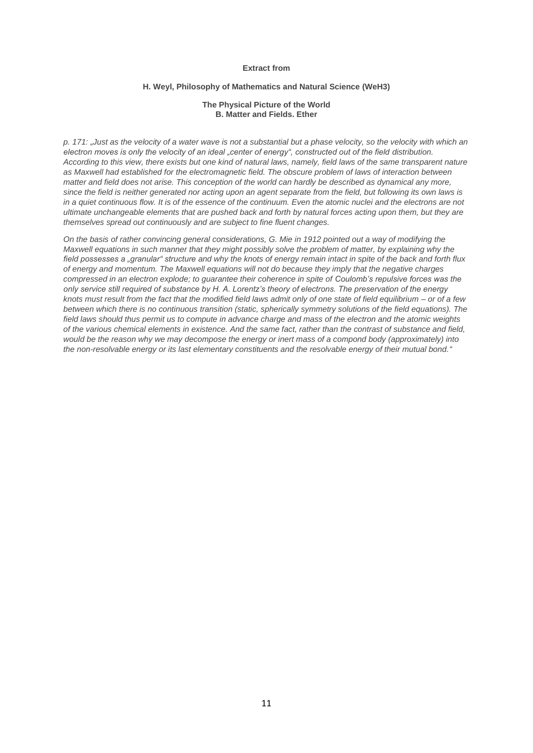## **H. Weyl, Philosophy of Mathematics and Natural Science (WeH3)**

### **The Physical Picture of the World B. Matter and Fields. Ether**

*p. 171: "Just as the velocity of a water wave is not a substantial but a phase velocity, so the velocity with which an electron moves is only the velocity of an ideal "center of energy", constructed out of the field distribution. According to this view, there exists but one kind of natural laws, namely, field laws of the same transparent nature as Maxwell had established for the electromagnetic field. The obscure problem of laws of interaction between matter and field does not arise. This conception of the world can hardly be described as dynamical any more, since the field is neither generated nor acting upon an agent separate from the field, but following its own laws is*  in a quiet continuous flow. It is of the essence of the continuum. Even the atomic nuclei and the electrons are not *ultimate unchangeable elements that are pushed back and forth by natural forces acting upon them, but they are themselves spread out continuously and are subject to fine fluent changes.*

*On the basis of rather convincing general considerations, G. Mie in 1912 pointed out a way of modifying the Maxwell equations in such manner that they might possibly solve the problem of matter, by explaining why the field possesses a "granular" structure and why the knots of energy remain intact in spite of the back and forth flux of energy and momentum. The Maxwell equations will not do because they imply that the negative charges compressed in an electron explode; to guarantee their coherence in spite of Coulomb's repulsive forces was the only service still required of substance by H. A. Lorentz's theory of electrons. The preservation of the energy knots must result from the fact that the modified field laws admit only of one state of field equilibrium – or of a few between which there is no continuous transition (static, spherically symmetry solutions of the field equations). The field laws should thus permit us to compute in advance charge and mass of the electron and the atomic weights of the various chemical elements in existence. And the same fact, rather than the contrast of substance and field, would be the reason why we may decompose the energy or inert mass of a compond body (approximately) into the non-resolvable energy or its last elementary constituents and the resolvable energy of their mutual bond."*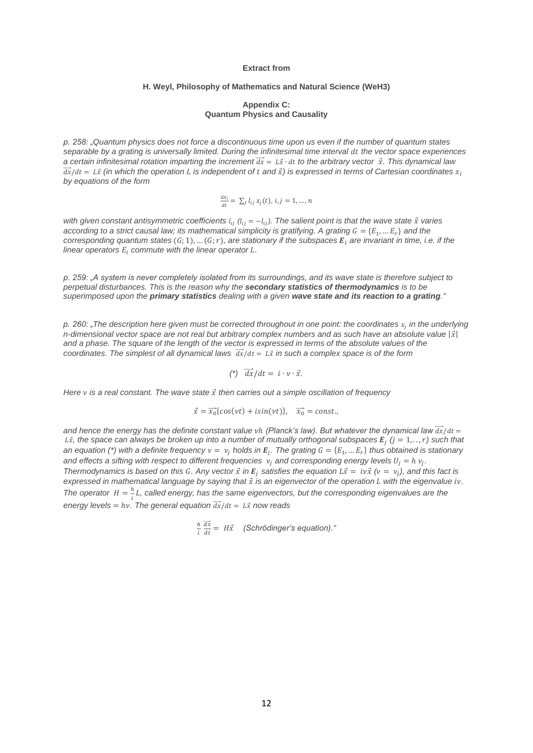## **H. Weyl, Philosophy of Mathematics and Natural Science (WeH3)**

### **Appendix C: Quantum Physics and Causality**

*p. 258: "Quantum physics does not force a discontinuous time upon us even if the number of quantum states separable by a grating is universally limited. During the infinitesimal time interval dt the vector space experiences a certain infinitesimal rotation imparting the increment*  $\vec{dx} = L\vec{x} \cdot dt$  to the arbitrary vector  $\vec{x}$ . This dynamical law  $\vec{dx}/dt = L\vec{x}$  (in which the operation L is independent of t and  $\vec{x}$ ) is expressed in terms of Cartesian coordinates  $x_i$ *by equations of the form*

$$
\tfrac{dx_i}{dt} = \sum_j l_{ij} x_j(t), i, j = 1, \ldots, n
$$

*with given constant antisymmetric coefficients*  $l_{ij}$  ( $l_{ij}$  =  $-l_{ij}$ ). The salient point is that the wave state  $\vec{x}$  varies *according to a strict causal law; its mathematical simplicity is gratifying. A grating*  $G = \{E_1, ..., E_r\}$  *and the*  $corresponding$  quantum states  $(G; 1), \ldots (G; r)$ , are stationary if the subspaces  $E_i$  are invariant in time, i.e. if the *linear operators*  $E_i$  commute with the linear operator  $L$ .

*p. 259: "A system is never completely isolated from its surroundings, and its wave state is therefore subject to perpetual disturbances. This is the reason why the secondary statistics of thermodynamics is to be superimposed upon the primary statistics dealing with a given wave state and its reaction to a grating."*

*p. 260: "The description here given must be corrected throughout in one point: the coordinates in the underlying n-dimensional vector space are not real but arbitrary complex numbers and as such have an absolute value*  $|\vec{x}|$ *and a phase. The square of the length of the vector is expressed in terms of the absolute values of the coordinates. The simplest of all dynamical laws*  $\frac{d\vec{x}}{dt} = L\vec{x}$  *in such a complex space is of the form* 

$$
(*)\ \overrightarrow{dx}/dt = i \cdot \nu \cdot \vec{x}.
$$

*Here is a real constant. The wave state then carries out a simple oscillation of frequency* 

$$
\vec{x} = \overrightarrow{x_0} \{ \cos(\nu t) + i \sin(\nu t) \}, \quad \overrightarrow{x_0} = const.
$$

and hence the energy has the definite constant value *vh* (Planck's law). But whatever the dynamical law  $\vec{dx}/dt =$  $L\vec{x},$  the space can always be broken up into a number of mutually orthogonal subspaces  $E_j$   $(j=1,..,r)$  such that an equation (\*) with a definite frequency  $v = v_j$  holds in  $E_j$ . The grating  $G = \{E_1, ..., E_r\}$  thus obtained is stationary and effects a sifting with respect to different frequencies  $v_j$  and corresponding energy levels  $U_j = h v_j$ . *Thermodynamics is based on this G. Any vector*  $\vec{x}$  *in*  $E_j$  *satisfies the equation*  $L\vec{x} = iv\vec{x}$  *(* $v = v_j$ *), and this fact is*  $e$ xpressed in mathematical language by saying that  $\vec{x}$  is an eigenvector of the operation L with the eigenvalue iv. *The operator*  $H = \frac{h}{t}$  $\frac{n}{i}L$ , called energy, has the same eigenvectors, but the corresponding eigenvalues are the *energy levels = hv. The general equation*  $\overrightarrow{dx}/dt = L\overrightarrow{x}$  *now reads* 

$$
\frac{h}{i} \frac{\overrightarrow{dx}}{dt} = H\vec{x}
$$
 (Schrödinger's equation).<sup>"</sup>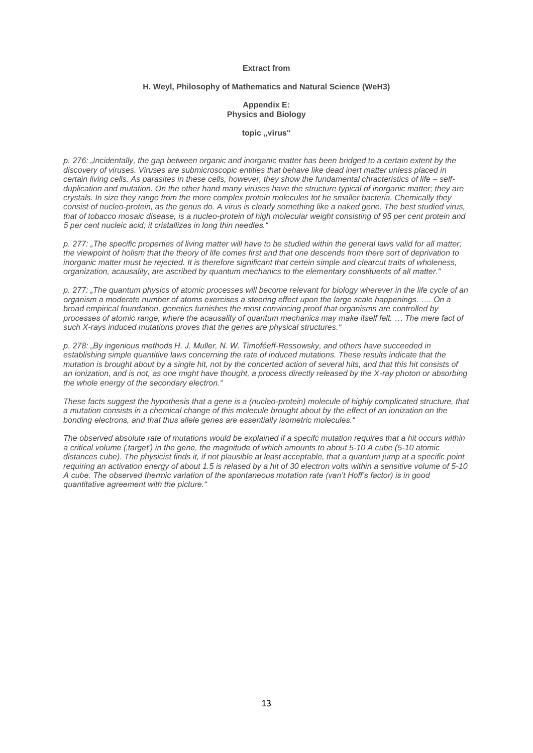## **H. Weyl, Philosophy of Mathematics and Natural Science (WeH3)**

### **Appendix E: Physics and Biology**

### topic ..virus"

*p. 276: "Incidentally, the gap between organic and inorganic matter has been bridged to a certain extent by the discovery of viruses. Viruses are submicroscopic entities that behave like dead inert matter unless placed in certain living cells. As parasites in these cells, however, they show the fundamental chracteristics of life – selfduplication and mutation. On the other hand many viruses have the structure typical of inorganic matter; they are crystals. In size they range from the more complex protein molecules tot he smaller bacteria. Chemically they*  consist of nucleo-protein, as the genus do. A virus is clearly something like a naked gene. The best studied virus, that of tobacco mosaic disease, is a nucleo-protein of high molecular weight consisting of 95 per cent protein and *5 per cent nucleic acid; it cristallizes in long thin needles."*

*p. 277: "The specific properties of living matter will have to be studied within the general laws valid for all matter; the viewpoint of holism that the theory of life comes first and that one descends from there sort of deprivation to inorganic matter must be rejected. It is therefore significant that certein simple and clearcut traits of wholeness, organization, acausality, are ascribed by quantum mechanics to the elementary constituents of all matter."*

*p. 277: "The quantum physics of atomic processes will become relevant for biology wherever in the life cycle of an organism a moderate number of atoms exercises a steering effect upon the large scale happenings. …. On a broad empirical foundation, genetics furnishes the most convincing proof that organisms are controlled by processes of atomic range, where the acausality of quantum mechanics may make itself felt. … The mere fact of such X-rays induced mutations proves that the genes are physical structures."*

*p. 278: "By ingenious methods H. J. Muller, N. W. Timoféeff-Ressowsky, and others have succeeded in establishing simple quantitive laws concerning the rate of induced mutations. These results indicate that the mutation is brought about by a single hit, not by the concerted action of several hits, and that this hit consists of an ionization, and is not, as one might have thought, a process directly released by the X-ray photon or absorbing the whole energy of the secondary electron."*

*These facts suggest the hypothesis that a gene is a (nucleo-protein) molecule of highly complicated structure, that a mutation consists in a chemical change of this molecule brought about by the effect of an ionization on the bonding electrons, and that thus allele genes are essentially isometric molecules."*

*The observed absolute rate of mutations would be explained if a specifc mutation requires that a hit occurs within a critical volume ('target') in the gene, the magnitude of which amounts to about 5-10 A cube (5-10 atomic distances cube). The physicist finds it, if not plausible at least acceptable, that a quantum jump at a specific point requiring an activation energy of about 1.5 is relased by a hit of 30 electron volts within a sensitive volume of 5-10 A cube. The observed thermic variation of the spontaneous mutation rate (van't Hoff's factor) is in good quantitative agreement with the picture."*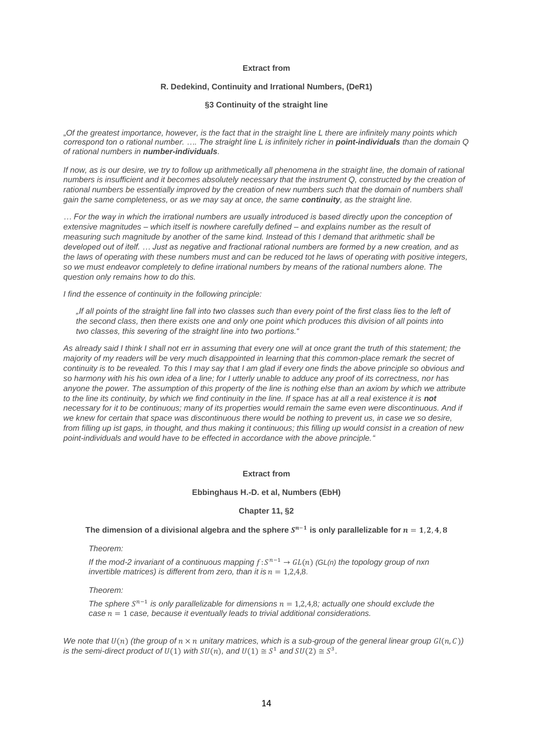## **R. Dedekind, Continuity and Irrational Numbers, (DeR1)**

## **§3 Continuity of the straight line**

"*Of the greatest importance, however, is the fact that in the straight line L there are infinitely many points which correspond ton o rational number. …. The straight line L is infinitely richer in point-individuals than the domain Q of rational numbers in number-individuals.*

*If now, as is our desire, we try to follow up arithmetically all phenomena in the straight line, the domain of rational numbers is insufficient and it becomes absolutely necessary that the instrument Q, constructed by the creation of rational numbers be essentially improved by the creation of new numbers such that the domain of numbers shall gain the same completeness, or as we may say at once, the same continuity, as the straight line.*

*… For the way in which the irrational numbers are usually introduced is based directly upon the conception of extensive magnitudes – which itself is nowhere carefully defined – and explains number as the result of measuring such magnitude by another of the same kind. Instead of this I demand that arithmetic shall be developed out of itelf. … Just as negative and fractional rational numbers are formed by a new creation, and as the laws of operating with these numbers must and can be reduced tot he laws of operating with positive integers, so we must endeavor completely to define irrational numbers by means of the rational numbers alone. The question only remains how to do this.*

*I find the essence of continuity in the following principle:*

*"If all points of the straight line fall into two classes such than every point of the first class lies to the left of the second class, then there exists one and only one point which produces this division of all points into two classes, this severing of the straight line into two portions."*

*As already said I think I shall not err in assuming that every one will at once grant the truth of this statement; the majority of my readers will be very much disappointed in learning that this common-place remark the secret of continuity is to be revealed. To this I may say that I am glad if every one finds the above principle so obvious and*  so harmony with his his own idea of a line; for I utterly unable to adduce any proof of its correctness, nor has anyone the power. The assumption of this property of the line is nothing else than an axiom by which we attribute to the line its continuity, by which we find continuity in the line. If space has at all a real existence it is **not** necessary for it to be continuous; many of its properties would remain the same even were discontinuous. And if we knew for certain that space was discontinuous there would be nothing to prevent us, in case we so desire, *from filling up ist gaps, in thought, and thus making it continuous; this filling up would consist in a creation of new point-individuals and would have to be effected in accordance with the above principle."*

## **Extract from**

#### **Ebbinghaus H.-D. et al, Numbers (EbH)**

## **Chapter 11, §2**

### The dimension of a divisional algebra and the sphere  $S^{n-1}$  is only parallelizable for  $n=1,2,4,8$

### *Theorem:*

*If the mod-2 invariant of a continuous mapping*  $f: S^{n-1} \to GL(n)$  *(GL(n) the topology group of nxn invertible matrices) is different from zero, than it is*  $n = 1,2,4,8$ *.* 

#### *Theorem:*

*The sphere*  $S^{n-1}$  *is only parallelizable for dimensions*  $n = 1,2,4,8$ ; *actually one should exclude the*  $case n = 1 case$ , because it eventually leads to trivial additional considerations.

We note that  $U(n)$  (the group of  $n \times n$  unitary matrices, which is a sub-group of the general linear group  $Gl(n, C)$ ) *is the semi-direct product of U(1) with*  $SU(n)$ *, and*  $U(1) \cong S^1$  *and*  $SU(2) \cong S^3$ *.*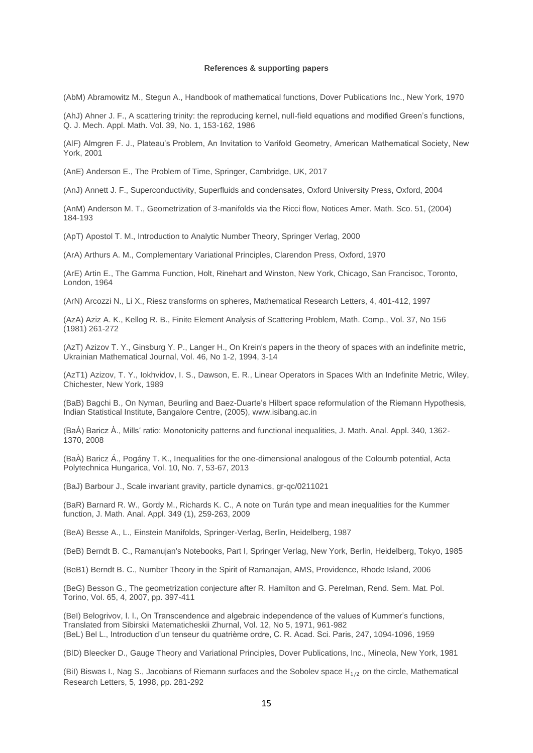#### **References & supporting papers**

(AbM) Abramowitz M., Stegun A., Handbook of mathematical functions, Dover Publications Inc., New York, 1970

(AhJ) Ahner J. F., A scattering trinity: the reproducing kernel, null-field equations and modified Green's functions, Q. J. Mech. Appl. Math. Vol. 39, No. 1, 153-162, 1986

(AlF) Almgren F. J., Plateau's Problem, An Invitation to Varifold Geometry, American Mathematical Society, New York, 2001

(AnE) Anderson E., The Problem of Time, Springer, Cambridge, UK, 2017

(AnJ) Annett J. F., Superconductivity, Superfluids and condensates, Oxford University Press, Oxford, 2004

(AnM) Anderson M. T., Geometrization of 3-manifolds via the Ricci flow, Notices Amer. Math. Sco. 51, (2004) 184-193

(ApT) Apostol T. M., Introduction to Analytic Number Theory, Springer Verlag, 2000

(ArA) Arthurs A. M., Complementary Variational Principles, Clarendon Press, Oxford, 1970

(ArE) Artin E., The Gamma Function, Holt, Rinehart and Winston, New York, Chicago, San Francisoc, Toronto, London, 1964

(ArN) Arcozzi N., Li X., Riesz transforms on spheres, Mathematical Research Letters, 4, 401-412, 1997

(AzA) Aziz A. K., Kellog R. B., Finite Element Analysis of Scattering Problem, Math. Comp., Vol. 37, No 156 (1981) 261-272

(AzT) Azizov T. Y., Ginsburg Y. P., Langer H., On Krein's papers in the theory of spaces with an indefinite metric, Ukrainian Mathematical Journal, Vol. 46, No 1-2, 1994, 3-14

(AzT1) Azizov, T. Y., Iokhvidov, I. S., Dawson, E. R., Linear Operators in Spaces With an Indefinite Metric, Wiley, Chichester, New York, 1989

(BaB) Bagchi B., On Nyman, Beurling and Baez-Duarte's Hilbert space reformulation of the Riemann Hypothesis, Indian Statistical Institute, Bangalore Centre, (2005), [www.isibang.ac.in](http://www.isibang.ac.in/)

(BaÁ) Baricz À., Mills' ratio: Monotonicity patterns and functional inequalities, J. Math. Anal. Appl. 340, 1362- 1370, 2008

(BaÀ) Baricz Á., Pogány T. K., Inequalities for the one-dimensional analogous of the Coloumb potential, Acta Polytechnica Hungarica, Vol. 10, No. 7, 53-67, 2013

(BaJ) Barbour J., Scale invariant gravity, particle dynamics, [gr-qc/0211021](https://arxiv.org/abs/gr-qc/0211021)

(BaR) Barnard R. W., Gordy M., Richards K. C., A note on Turán type and mean inequalities for the Kummer function, J. Math. Anal. Appl. 349 (1), 259-263, 2009

(BeA) Besse A., L., Einstein Manifolds, Springer-Verlag, Berlin, Heidelberg, 1987

(BeB) Berndt B. C., Ramanujan's Notebooks, Part I, Springer Verlag, New York, Berlin, Heidelberg, Tokyo, 1985

(BeB1) Berndt B. C., Number Theory in the Spirit of Ramanajan, AMS, Providence, Rhode Island, 2006

(BeG) Besson G., The geometrization conjecture after R. Hamilton and G. Perelman, Rend. Sem. Mat. Pol. Torino, Vol. 65, 4, 2007, pp. 397-411

(BeI) Belogrivov, I. I., On Transcendence and algebraic independence of the values of Kummer's functions, Translated from Sibirskii Matematicheskii Zhurnal, Vol. 12, No 5, 1971, 961-982 (BeL) Bel L., Introduction d'un tenseur du quatrième ordre, C. R. Acad. Sci. Paris, 247, 1094-1096, 1959

(BlD) Bleecker D., Gauge Theory and Variational Principles, Dover Publications, Inc., Mineola, New York, 1981

(BiI) Biswas I., Nag S., Jacobians of Riemann surfaces and the Sobolev space  $H_{1/2}$  on the circle, Mathematical Research Letters, 5, 1998, pp. 281-292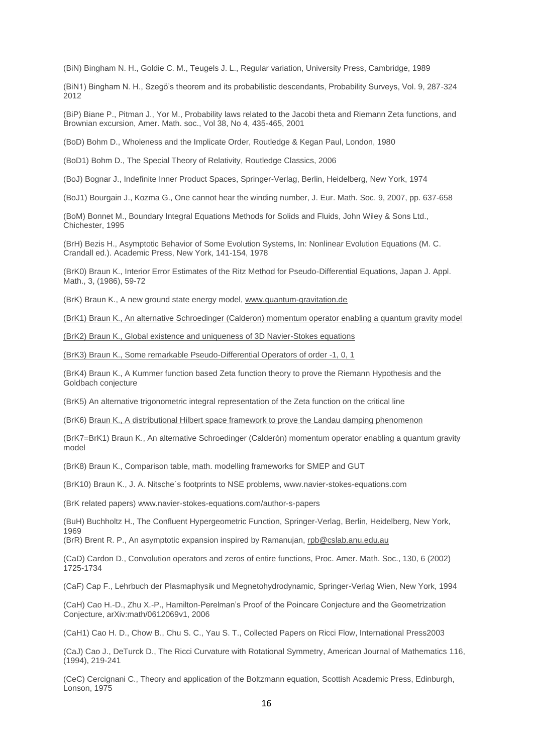(BiN) Bingham N. H., Goldie C. M., Teugels J. L., Regular variation, University Press, Cambridge, 1989

(BiN1) Bingham N. H., Szegö's theorem and its probabilistic descendants, Probability Surveys, Vol. 9, 287-324 2012

(BiP) Biane P., Pitman J., Yor M., Probability laws related to the Jacobi theta and Riemann Zeta functions, and Brownian excursion, Amer. Math. soc., Vol 38, No 4, 435-465, 2001

(BoD) Bohm D., Wholeness and the Implicate Order, Routledge & Kegan Paul, London, 1980

(BoD1) Bohm D., The Special Theory of Relativity, Routledge Classics, 2006

(BoJ) Bognar J., Indefinite Inner Product Spaces, Springer-Verlag, Berlin, Heidelberg, New York, 1974

(BoJ1) Bourgain J., Kozma G., One cannot hear the winding number, J. Eur. Math. Soc. 9, 2007, pp. 637-658

(BoM) Bonnet M., Boundary Integral Equations Methods for Solids and Fluids, John Wiley & Sons Ltd., Chichester, 1995

(BrH) Bezis H., Asymptotic Behavior of Some Evolution Systems, In: Nonlinear Evolution Equations (M. C. Crandall ed.). Academic Press, New York, 141-154, 1978

(BrK0) Braun K., Interior Error Estimates of the Ritz Method for Pseudo-Differential Equations, Japan J. Appl. Math., 3, (1986), 59-72

(BrK) Braun K., A new ground state energy model, [www.quantum-gravitation.de](http://www.quantum-gravitation.de/)

[\(BrK1\) Braun K., An alternative Schroedinger \(Calderon\) momentum operator enabling a quantum gravity model](http://www.fuchs-braun.com/null)

[\(BrK2\) Braun K., Global existence and uniqueness of 3D Navier-Stokes equations](http://www.fuchs-braun.com/null)

[\(BrK3\) Braun K., Some remarkable Pseudo-Differential Operators of order -1, 0, 1](http://www.fuchs-braun.com/null)

(BrK4) Braun K., A Kummer function based Zeta function theory to prove the Riemann Hypothesis and the Goldbach conjecture

(BrK5) An alternative trigonometric integral representation of the Zeta function on the critical line

(BrK6) [Braun K., A distributional Hilbert space framework to prove the Landau damping phenomenon](http://www.fuchs-braun.com/null)

(BrK7=BrK1) Braun K., An alternative Schroedinger (Calderón) momentum operator enabling a quantum gravity model

(BrK8) Braun K., Comparison table, math. modelling frameworks for SMEP and GUT

(BrK10) Braun K., J. A. Nitsche´s footprints to NSE problems, www.navier-stokes-equations.com

(BrK related papers) www.navier-stokes-equations.com/author-s-papers

(BuH) Buchholtz H., The Confluent Hypergeometric Function, Springer-Verlag, Berlin, Heidelberg, New York, 1969

(BrR) Brent R. P., An asymptotic expansion inspired by Ramanujan, [rpb@cslab.anu.edu.au](mailto:rpb@cslab.anu.edu.au)

(CaD) Cardon D., Convolution operators and zeros of entire functions, Proc. Amer. Math. Soc., 130, 6 (2002) 1725-1734

(CaF) Cap F., Lehrbuch der Plasmaphysik und Megnetohydrodynamic, Springer-Verlag Wien, New York, 1994

(CaH) Cao H.-D., Zhu X.-P., Hamilton-Perelman's Proof of the Poincare Conjecture and the Geometrization Conjecture, arXiv:math/0612069v1, 2006

(CaH1) Cao H. D., Chow B., Chu S. C., Yau S. T., Collected Papers on Ricci Flow, International Press2003

(CaJ) Cao J., DeTurck D., The Ricci Curvature with Rotational Symmetry, American Journal of Mathematics 116, (1994), 219-241

(CeC) Cercignani C., Theory and application of the Boltzmann equation, Scottish Academic Press, Edinburgh, Lonson, 1975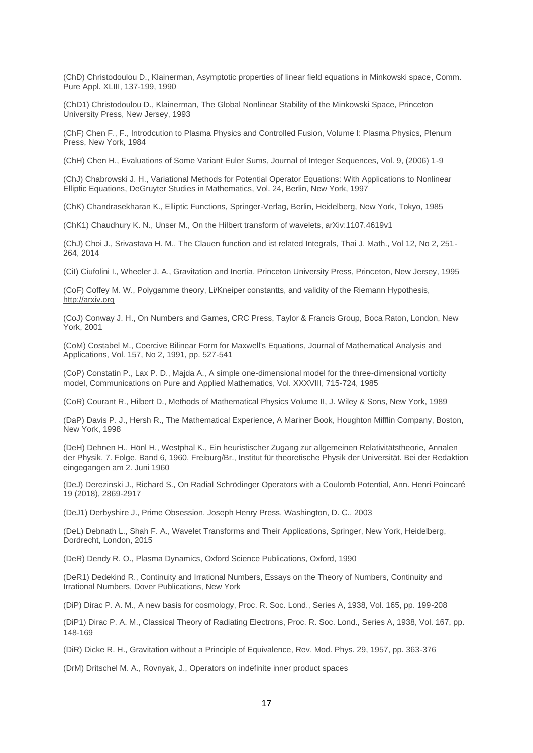(ChD) Christodoulou D., Klainerman, Asymptotic properties of linear field equations in Minkowski space, Comm. Pure Appl. XLIII, 137-199, 1990

(ChD1) Christodoulou D., Klainerman, The Global Nonlinear Stability of the Minkowski Space, Princeton University Press, New Jersey, 1993

(ChF) Chen F., F., Introdcution to Plasma Physics and Controlled Fusion, Volume I: Plasma Physics, Plenum Press, New York, 1984

(ChH) Chen H., Evaluations of Some Variant Euler Sums, Journal of Integer Sequences, Vol. 9, (2006) 1-9

(ChJ) Chabrowski J. H., Variational Methods for Potential Operator Equations: With Applications to Nonlinear Elliptic Equations, DeGruyter Studies in Mathematics, Vol. 24, Berlin, New York, 1997

(ChK) Chandrasekharan K., Elliptic Functions, Springer-Verlag, Berlin, Heidelberg, New York, Tokyo, 1985

(ChK1) Chaudhury K. N., Unser M., On the Hilbert transform of wavelets, arXiv:1107.4619v1

(ChJ) Choi J., Srivastava H. M., The Clauen function and ist related Integrals, Thai J. Math., Vol 12, No 2, 251- 264, 2014

(CiI) Ciufolini I., Wheeler J. A., Gravitation and Inertia, Princeton University Press, Princeton, New Jersey, 1995

(CoF) Coffey M. W., Polygamme theory, Li/Kneiper constantts, and validity of the Riemann Hypothesis, [http://arxiv.org](http://arxiv.org/)

(CoJ) Conway J. H., On Numbers and Games, CRC Press, Taylor & Francis Group, Boca Raton, London, New York, 2001

(CoM) Costabel M., Coercive Bilinear Form for Maxwell's Equations, Journal of Mathematical Analysis and Applications, Vol. 157, No 2, 1991, pp. 527-541

(CoP) Constatin P., Lax P. D., Majda A., A simple one-dimensional model for the three-dimensional vorticity model, Communications on Pure and Applied Mathematics, Vol. XXXVIII, 715-724, 1985

(CoR) Courant R., Hilbert D., Methods of Mathematical Physics Volume II, J. Wiley & Sons, New York, 1989

(DaP) Davis P. J., Hersh R., The Mathematical Experience, A Mariner Book, Houghton Mifflin Company, Boston, New York, 1998

(DeH) Dehnen H., Hönl H., Westphal K., Ein heuristischer Zugang zur allgemeinen Relativitätstheorie, Annalen der Physik, 7. Folge, Band 6, 1960, Freiburg/Br., Institut für theoretische Physik der Universität. Bei der Redaktion eingegangen am 2. Juni 1960

(DeJ) Derezinski J., Richard S., On Radial Schrödinger Operators with a Coulomb Potential, Ann. Henri Poincaré 19 (2018), 2869-2917

(DeJ1) Derbyshire J., Prime Obsession, Joseph Henry Press, Washington, D. C., 2003

(DeL) Debnath L., Shah F. A., Wavelet Transforms and Their Applications, Springer, New York, Heidelberg, Dordrecht, London, 2015

(DeR) Dendy R. O., Plasma Dynamics, Oxford Science Publications, Oxford, 1990

(DeR1) Dedekind R., Continuity and Irrational Numbers, Essays on the Theory of Numbers, Continuity and Irrational Numbers, Dover Publications, New York

(DiP) Dirac P. A. M., A new basis for cosmology, Proc. R. Soc. Lond., Series A, 1938, Vol. 165, pp. 199-208

(DiP1) Dirac P. A. M., Classical Theory of Radiating Electrons, Proc. R. Soc. Lond., Series A, 1938, Vol. 167, pp. 148-169

(DiR) Dicke R. H., Gravitation without a Principle of Equivalence, Rev. Mod. Phys. 29, 1957, pp. 363-376

(DrM) Dritschel M. A., Rovnyak, J., Operators on indefinite inner product spaces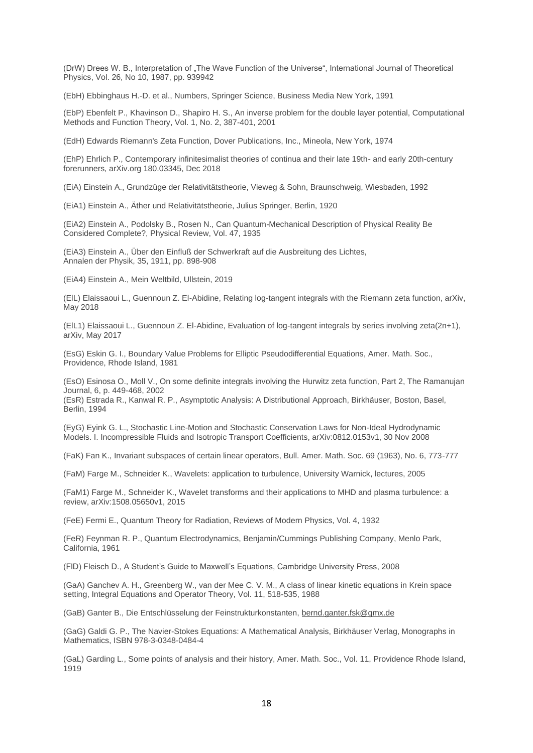(DrW) Drees W. B., Interpretation of "The Wave Function of the Universe", International Journal of Theoretical Physics, Vol. 26, No 10, 1987, pp. 939942

(EbH) Ebbinghaus H.-D. et al., Numbers, Springer Science, Business Media New York, 1991

(EbP) Ebenfelt P., Khavinson D., Shapiro H. S., An inverse problem for the double layer potential, Computational Methods and Function Theory, Vol. 1, No. 2, 387-401, 2001

(EdH) Edwards Riemann's Zeta Function, Dover Publications, Inc., Mineola, New York, 1974

(EhP) Ehrlich P., Contemporary infinitesimalist theories of continua and their late 19th- and early 20th-century forerunners, arXiv.org 180.03345, Dec 2018

(EiA) Einstein A., Grundzüge der Relativitätstheorie, Vieweg & Sohn, Braunschweig, Wiesbaden, 1992

(EiA1) Einstein A., Äther und Relativitätstheorie, Julius Springer, Berlin, 1920

(EiA2) Einstein A., Podolsky B., Rosen N., Can Quantum-Mechanical Description of Physical Reality Be Considered Complete?, Physical Review, Vol. 47, 1935

(EiA3) Einstein A., Über den Einfluß der Schwerkraft auf die Ausbreitung des Lichtes, Annalen der Physik, 35, 1911, pp. 898-908

(EiA4) Einstein A., Mein Weltbild, Ullstein, 2019

(ElL) Elaissaoui L., Guennoun Z. El-Abidine, Relating log-tangent integrals with the Riemann zeta function, arXiv, May 2018

(ElL1) Elaissaoui L., Guennoun Z. El-Abidine, Evaluation of log-tangent integrals by series involving zeta(2n+1), arXiv, May 2017

(EsG) Eskin G. I., Boundary Value Problems for Elliptic Pseudodifferential Equations, Amer. Math. Soc., Providence, Rhode Island, 1981

(EsO) Esinosa O., Moll V., On some definite integrals involving the Hurwitz zeta function, Part 2, The Ramanujan Journal, 6, p. 449-468, 2002

(EsR) Estrada R., Kanwal R. P., Asymptotic Analysis: A Distributional Approach, Birkhäuser, Boston, Basel, Berlin, 1994

(EyG) Eyink G. L., Stochastic Line-Motion and Stochastic Conservation Laws for Non-Ideal Hydrodynamic Models. I. Incompressible Fluids and Isotropic Transport Coefficients, arXiv:0812.0153v1, 30 Nov 2008

(FaK) Fan K., Invariant subspaces of certain linear operators, Bull. Amer. Math. Soc. 69 (1963), No. 6, 773-777

(FaM) Farge M., Schneider K., Wavelets: application to turbulence, University Warnick, lectures, 2005

(FaM1) Farge M., Schneider K., Wavelet transforms and their applications to MHD and plasma turbulence: a review, arXiv:1508.05650v1, 2015

(FeE) Fermi E., Quantum Theory for Radiation, Reviews of Modern Physics, Vol. 4, 1932

(FeR) Feynman R. P., Quantum Electrodynamics, Benjamin/Cummings Publishing Company, Menlo Park, California, 1961

(FlD) Fleisch D., A Student's Guide to Maxwell's Equations, Cambridge University Press, 2008

(GaA) Ganchev A. H., Greenberg W., van der Mee C. V. M., A class of linear kinetic equations in Krein space setting, Integral Equations and Operator Theory, Vol. 11, 518-535, 1988

(GaB) Ganter B., Die Entschlüsselung der Feinstrukturkonstanten, [bernd.ganter.fsk@gmx.de](mailto:bernd.ganter.fsk@gmx.de)

(GaG) Galdi G. P., The Navier-Stokes Equations: A Mathematical Analysis, Birkhäuser Verlag, Monographs in Mathematics, ISBN 978-3-0348-0484-4

(GaL) Garding L., Some points of analysis and their history, Amer. Math. Soc., Vol. 11, Providence Rhode Island, 1919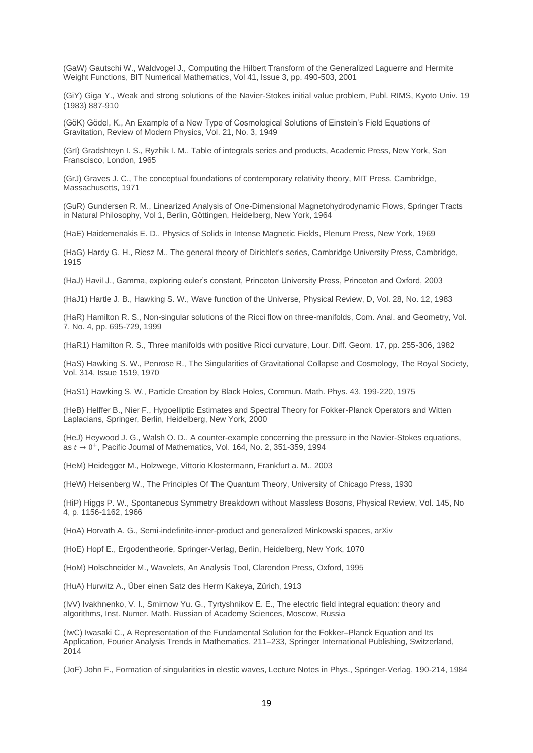(GaW) Gautschi W., Waldvogel J., Computing the Hilbert Transform of the Generalized Laguerre and Hermite Weight Functions, BIT Numerical Mathematics, Vol 41, Issue 3, pp. 490-503, 2001

(GiY) Giga Y., Weak and strong solutions of the Navier-Stokes initial value problem, Publ. RIMS, Kyoto Univ. 19 (1983) 887-910

(GöK) Gödel, K., An Example of a New Type of Cosmological Solutions of Einstein's Field Equations of Gravitation, Review of Modern Physics, Vol. 21, No. 3, 1949

(GrI) Gradshteyn I. S., Ryzhik I. M., Table of integrals series and products, Academic Press, New York, San Franscisco, London, 1965

(GrJ) Graves J. C., The conceptual foundations of contemporary relativity theory, MIT Press, Cambridge, Massachusetts, 1971

(GuR) Gundersen R. M., Linearized Analysis of One-Dimensional Magnetohydrodynamic Flows, Springer Tracts in Natural Philosophy, Vol 1, Berlin, Göttingen, Heidelberg, New York, 1964

(HaE) Haidemenakis E. D., Physics of Solids in Intense Magnetic Fields, Plenum Press, New York, 1969

(HaG) Hardy G. H., Riesz M., The general theory of Dirichlet's series, Cambridge University Press, Cambridge, 1915

(HaJ) Havil J., Gamma, exploring euler's constant, Princeton University Press, Princeton and Oxford, 2003

(HaJ1) Hartle J. B., Hawking S. W., Wave function of the Universe, Physical Review, D, Vol. 28, No. 12, 1983

(HaR) Hamilton R. S., Non-singular solutions of the Ricci flow on three-manifolds, Com. Anal. and Geometry, Vol. 7, No. 4, pp. 695-729, 1999

(HaR1) Hamilton R. S., Three manifolds with positive Ricci curvature, Lour. Diff. Geom. 17, pp. 255-306, 1982

(HaS) Hawking S. W., Penrose R., The Singularities of Gravitational Collapse and Cosmology, The Royal Society, Vol. 314, Issue 1519, 1970

(HaS1) Hawking S. W., Particle Creation by Black Holes, Commun. Math. Phys. 43, 199-220, 1975

(HeB) Helffer B., Nier F., Hypoelliptic Estimates and Spectral Theory for Fokker-Planck Operators and Witten Laplacians, Springer, Berlin, Heidelberg, New York, 2000

(HeJ) Heywood J. G., Walsh O. D., A counter-example concerning the pressure in the Navier-Stokes equations, as  $t \to 0^+$ , Pacific Journal of Mathematics, Vol. 164, No. 2, 351-359, 1994

(HeM) Heidegger M., Holzwege, Vittorio Klostermann, Frankfurt a. M., 2003

(HeW) Heisenberg W., The Principles Of The Quantum Theory, University of Chicago Press, 1930

(HiP) Higgs P. W., Spontaneous Symmetry Breakdown without Massless Bosons, Physical Review, Vol. 145, No 4, p. 1156-1162, 1966

(HoA) Horvath A. G., Semi-indefinite-inner-product and generalized Minkowski spaces, arXiv

(HoE) Hopf E., Ergodentheorie, Springer-Verlag, Berlin, Heidelberg, New York, 1070

(HoM) Holschneider M., Wavelets, An Analysis Tool, Clarendon Press, Oxford, 1995

(HuA) Hurwitz A., Über einen Satz des Herrn Kakeya, Zürich, 1913

(IvV) Ivakhnenko, V. I., Smirnow Yu. G., Tyrtyshnikov E. E., The electric field integral equation: theory and algorithms, Inst. Numer. Math. Russian of Academy Sciences, Moscow, Russia

(IwC) Iwasaki C., A Representation of the Fundamental Solution for the Fokker–Planck Equation and Its Application, Fourier Analysis Trends in Mathematics, 211–233, Springer International Publishing, Switzerland, 2014

(JoF) John F., Formation of singularities in elestic waves, Lecture Notes in Phys., Springer-Verlag, 190-214, 1984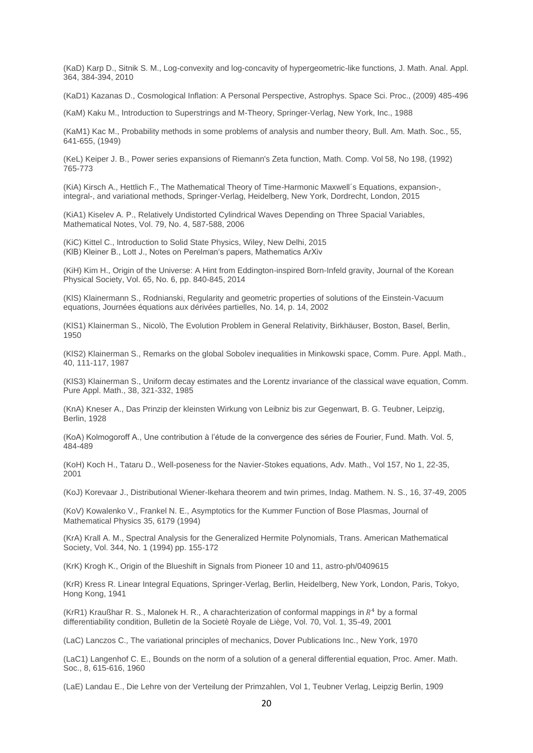(KaD) Karp D., Sitnik S. M., Log-convexity and log-concavity of hypergeometric-like functions, J. Math. Anal. Appl. 364, 384-394, 2010

(KaD1) Kazanas D., Cosmological Inflation: A Personal Perspective, Astrophys. Space Sci. Proc., (2009) 485-496

(KaM) Kaku M., Introduction to Superstrings and M-Theory, Springer-Verlag, New York, Inc., 1988

(KaM1) Kac M., Probability methods in some problems of analysis and number theory, Bull. Am. Math. Soc., 55, 641-655, (1949)

(KeL) Keiper J. B., Power series expansions of Riemann's Zeta function, Math. Comp. Vol 58, No 198, (1992) 765-773

(KiA) Kirsch A., Hettlich F., The Mathematical Theory of Time-Harmonic Maxwell´s Equations, expansion-, integral-, and variational methods, Springer-Verlag, Heidelberg, New York, Dordrecht, London, 2015

(KiA1) Kiselev A. P., Relatively Undistorted Cylindrical Waves Depending on Three Spacial Variables, Mathematical Notes, Vol. 79, No. 4, 587-588, 2006

(KiC) Kittel C., Introduction to Solid State Physics, Wiley, New Delhi, 2015 (KlB) Kleiner B., Lott J., Notes on Perelman's papers, Mathematics ArXiv

(KiH) Kim H., Origin of the Universe: A Hint from Eddington-inspired Born-Infeld gravity, Journal of the Korean Physical Society, Vol. 65, No. 6, pp. 840-845, 2014

(KlS) Klainermann S., Rodnianski, Regularity and geometric properties of solutions of the Einstein-Vacuum equations, Journées équations aux dérivées partielles, No. 14, p. 14, 2002

(KlS1) Klainerman S., Nicolò, The Evolution Problem in General Relativity, Birkhäuser, Boston, Basel, Berlin, 1950

(KlS2) Klainerman S., Remarks on the global Sobolev inequalities in Minkowski space, Comm. Pure. Appl. Math., 40, 111-117, 1987

(KlS3) Klainerman S., Uniform decay estimates and the Lorentz invariance of the classical wave equation, Comm. Pure Appl. Math., 38, 321-332, 1985

(KnA) Kneser A., Das Prinzip der kleinsten Wirkung von Leibniz bis zur Gegenwart, B. G. Teubner, Leipzig, Berlin, 1928

(KoA) Kolmogoroff A., Une contribution à l'étude de la convergence des séries de Fourier, Fund. Math. Vol. 5, 484-489

(KoH) Koch H., Tataru D., Well-poseness for the Navier-Stokes equations, Adv. Math., Vol 157, No 1, 22-35, 2001

(KoJ) Korevaar J., Distributional Wiener-Ikehara theorem and twin primes, Indag. Mathem. N. S., 16, 37-49, 2005

(KoV) Kowalenko V., Frankel N. E., Asymptotics for the Kummer Function of Bose Plasmas, Journal of Mathematical Physics 35, 6179 (1994)

(KrA) Krall A. M., Spectral Analysis for the Generalized Hermite Polynomials, Trans. American Mathematical Society, Vol. 344, No. 1 (1994) pp. 155-172

(KrK) Krogh K., Origin of the Blueshift in Signals from Pioneer 10 and 11, [astro-ph/0409615](https://arxiv.org/abs/astro-ph/0409615)

(KrR) Kress R. Linear Integral Equations, Springer-Verlag, Berlin, Heidelberg, New York, London, Paris, Tokyo, Hong Kong, 1941

(KrR1) Kraußhar R. S., Malonek H. R., A charachterization of conformal mappings in  $R<sup>4</sup>$  by a formal differentiability condition, Bulletin de la Societè Royale de Liège, Vol. 70, Vol. 1, 35-49, 2001

(LaC) Lanczos C., The variational principles of mechanics, Dover Publications Inc., New York, 1970

(LaC1) Langenhof C. E., Bounds on the norm of a solution of a general differential equation, Proc. Amer. Math. Soc., 8, 615-616, 1960

(LaE) Landau E., Die Lehre von der Verteilung der Primzahlen, Vol 1, Teubner Verlag, Leipzig Berlin, 1909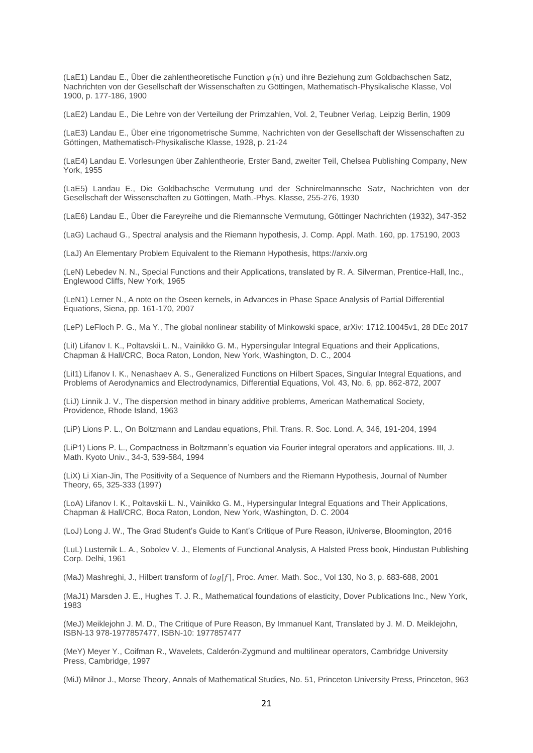(LaE1) Landau E., Über die zahlentheoretische Function  $\varphi(n)$  und ihre Beziehung zum Goldbachschen Satz, Nachrichten von der Gesellschaft der Wissenschaften zu Göttingen, Mathematisch-Physikalische Klasse, Vol 1900, p. 177-186, 1900

(LaE2) Landau E., Die Lehre von der Verteilung der Primzahlen, Vol. 2, Teubner Verlag, Leipzig Berlin, 1909

(LaE3) Landau E., Über eine trigonometrische Summe, Nachrichten von der Gesellschaft der Wissenschaften zu Göttingen, Mathematisch-Physikalische Klasse, 1928, p. 21-24

(LaE4) Landau E. Vorlesungen über Zahlentheorie, Erster Band, zweiter Teil, Chelsea Publishing Company, New York, 1955

(LaE5) Landau E., Die Goldbachsche Vermutung und der Schnirelmannsche Satz, Nachrichten von der Gesellschaft der Wissenschaften zu Göttingen, Math.-Phys. Klasse, 255-276, 1930

(LaE6) Landau E., Über die Fareyreihe und die Riemannsche Vermutung, Göttinger Nachrichten (1932), 347-352

(LaG) Lachaud G., Spectral analysis and the Riemann hypothesis, J. Comp. Appl. Math. 160, pp. 175190, 2003

(LaJ) An Elementary Problem Equivalent to the Riemann Hypothesis, https://arxiv.org

(LeN) Lebedev N. N., Special Functions and their Applications, translated by R. A. Silverman, Prentice-Hall, Inc., Englewood Cliffs, New York, 1965

(LeN1) Lerner N., A note on the Oseen kernels, in Advances in Phase Space Analysis of Partial Differential Equations, Siena, pp. 161-170, 2007

(LeP) LeFloch P. G., Ma Y., The global nonlinear stability of Minkowski space, arXiv: 1712.10045v1, 28 DEc 2017

(LiI) Lifanov I. K., Poltavskii L. N., Vainikko G. M., Hypersingular Integral Equations and their Applications, Chapman & Hall/CRC, Boca Raton, London, New York, Washington, D. C., 2004

(LiI1) Lifanov I. K., Nenashaev A. S., Generalized Functions on Hilbert Spaces, Singular Integral Equations, and Problems of Aerodynamics and Electrodynamics, Differential Equations, Vol. 43, No. 6, pp. 862-872, 2007

(LiJ) Linnik J. V., The dispersion method in binary additive problems, American Mathematical Society, Providence, Rhode Island, 1963

(LiP) Lions P. L., On Boltzmann and Landau equations, Phil. Trans. R. Soc. Lond. A, 346, 191-204, 1994

(LiP1) Lions P. L., Compactness in Boltzmann's equation via Fourier integral operators and applications. III, J. Math. Kyoto Univ., 34-3, 539-584, 1994

(LiX) Li Xian-Jin, The Positivity of a Sequence of Numbers and the Riemann Hypothesis, Journal of Number Theory, 65, 325-333 (1997)

(LoA) Lifanov I. K., Poltavskii L. N., Vainikko G. M., Hypersingular Integral Equations and Their Applications, Chapman & Hall/CRC, Boca Raton, London, New York, Washington, D. C. 2004

(LoJ) Long J. W., The Grad Student's Guide to Kant's Critique of Pure Reason, iUniverse, Bloomington, 2016

(LuL) Lusternik L. A., Sobolev V. J., Elements of Functional Analysis, A Halsted Press book, Hindustan Publishing Corp. Delhi, 1961

(MaJ) Mashreghi, J., Hilbert transform of  $log[f]$ , Proc. Amer. Math. Soc., Vol 130, No 3, p. 683-688, 2001

(MaJ1) Marsden J. E., Hughes T. J. R., Mathematical foundations of elasticity, Dover Publications Inc., New York, 1983

(MeJ) Meiklejohn J. M. D., The Critique of Pure Reason, By Immanuel Kant, Translated by J. M. D. Meiklejohn, ISBN-13 978-1977857477, ISBN-10: 1977857477

(MeY) Meyer Y., Coifman R., Wavelets, Calderón-Zygmund and multilinear operators, Cambridge University Press, Cambridge, 1997

(MiJ) Milnor J., Morse Theory, Annals of Mathematical Studies, No. 51, Princeton University Press, Princeton, 963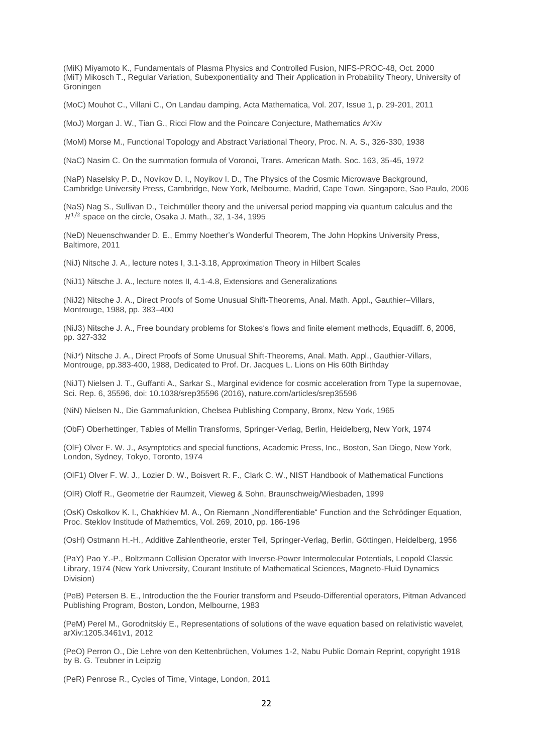(MiK) Miyamoto K., Fundamentals of Plasma Physics and Controlled Fusion, NIFS-PROC-48, Oct. 2000 (MiT) Mikosch T., Regular Variation, Subexponentiality and Their Application in Probability Theory, University of Groningen

(MoC) Mouhot C., Villani C., On Landau damping, Acta Mathematica, Vol. 207, Issue 1, p. 29-201, 2011

(MoJ) Morgan J. W., Tian G., Ricci Flow and the Poincare Conjecture, Mathematics ArXiv

(MoM) Morse M., Functional Topology and Abstract Variational Theory, Proc. N. A. S., 326-330, 1938

(NaC) Nasim C. On the summation formula of Voronoi, Trans. American Math. Soc. 163, 35-45, 1972

(NaP) Naselsky P. D., Novikov D. I., Noyikov I. D., The Physics of the Cosmic Microwave Background, Cambridge University Press, Cambridge, New York, Melbourne, Madrid, Cape Town, Singapore, Sao Paulo, 2006

(NaS) Nag S., Sullivan D., Teichmüller theory and the universal period mapping via quantum calculus and the  $H^{1/2}$  space on the circle, Osaka J. Math., 32, 1-34, 1995

(NeD) Neuenschwander D. E., Emmy Noether's Wonderful Theorem, The John Hopkins University Press, Baltimore, 2011

(NiJ) Nitsche J. A., lecture notes I, 3.1-3.18, Approximation Theory in Hilbert Scales

(NiJ1) Nitsche J. A., lecture notes II, 4.1-4.8, Extensions and Generalizations

(NiJ2) Nitsche J. A., Direct Proofs of Some Unusual Shift-Theorems, Anal. Math. Appl., Gauthier–Villars, Montrouge, 1988, pp. 383–400

(NiJ3) Nitsche J. A., Free boundary problems for Stokes's flows and finite element methods, Equadiff. 6, 2006, pp. 327-332

(NiJ\*) Nitsche J. A., Direct Proofs of Some Unusual Shift-Theorems, Anal. Math. Appl., Gauthier-Villars, Montrouge, pp.383-400, 1988, Dedicated to Prof. Dr. Jacques L. Lions on His 60th Birthday

(NiJT) Nielsen J. T., Guffanti A., Sarkar S., Marginal evidence for cosmic acceleration from Type Ia supernovae, Sci. Rep. 6, 35596, doi: 10.1038/srep35596 (2016), nature.com/articles/srep35596

(NiN) Nielsen N., Die Gammafunktion, Chelsea Publishing Company, Bronx, New York, 1965

(ObF) Oberhettinger, Tables of Mellin Transforms, Springer-Verlag, Berlin, Heidelberg, New York, 1974

(OlF) Olver F. W. J., Asymptotics and special functions, Academic Press, Inc., Boston, San Diego, New York, London, Sydney, Tokyo, Toronto, 1974

(OlF1) Olver F. W. J., Lozier D. W., Boisvert R. F., Clark C. W., NIST Handbook of Mathematical Functions

(OlR) Oloff R., Geometrie der Raumzeit, Vieweg & Sohn, Braunschweig/Wiesbaden, 1999

(OsK) Oskolkov K. I., Chakhkiev M. A., On Riemann "Nondifferentiable" Function and the Schrödinger Equation, Proc. Steklov Institude of Mathemtics, Vol. 269, 2010, pp. 186-196

(OsH) Ostmann H.-H., Additive Zahlentheorie, erster Teil, Springer-Verlag, Berlin, Göttingen, Heidelberg, 1956

(PaY) Pao Y.-P., Boltzmann Collision Operator with Inverse-Power Intermolecular Potentials, Leopold Classic Library, 1974 (New York University, Courant Institute of Mathematical Sciences, Magneto-Fluid Dynamics Division)

(PeB) Petersen B. E., Introduction the the Fourier transform and Pseudo-Differential operators, Pitman Advanced Publishing Program, Boston, London, Melbourne, 1983

(PeM) Perel M., Gorodnitskiy E., Representations of solutions of the wave equation based on relativistic wavelet, arXiv:1205.3461v1, 2012

(PeO) Perron O., Die Lehre von den Kettenbrüchen, Volumes 1-2, Nabu Public Domain Reprint, copyright 1918 by B. G. Teubner in Leipzig

(PeR) Penrose R., Cycles of Time, Vintage, London, 2011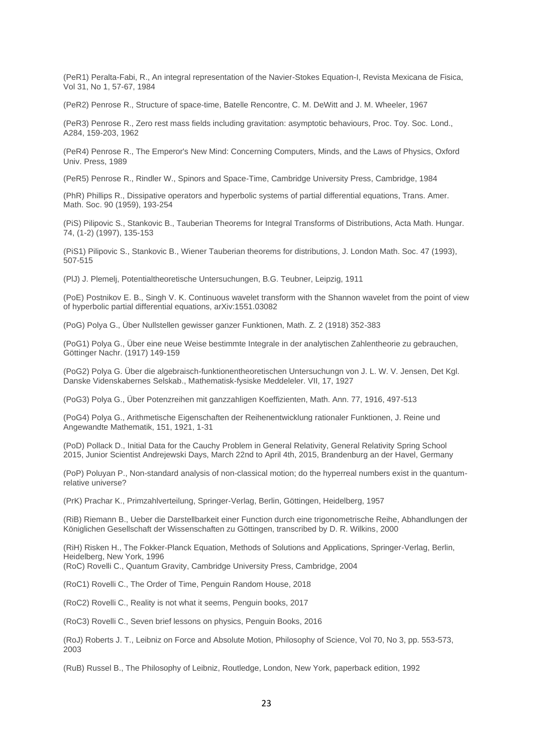(PeR1) Peralta-Fabi, R., An integral representation of the Navier-Stokes Equation-I, Revista Mexicana de Fisica, Vol 31, No 1, 57-67, 1984

(PeR2) Penrose R., Structure of space-time, Batelle Rencontre, C. M. DeWitt and J. M. Wheeler, 1967

(PeR3) Penrose R., Zero rest mass fields including gravitation: asymptotic behaviours, Proc. Toy. Soc. Lond., A284, 159-203, 1962

(PeR4) Penrose R., The Emperor's New Mind: Concerning Computers, Minds, and the Laws of Physics, Oxford Univ. Press, 1989

(PeR5) Penrose R., Rindler W., Spinors and Space-Time, Cambridge University Press, Cambridge, 1984

(PhR) Phillips R., Dissipative operators and hyperbolic systems of partial differential equations, Trans. Amer. Math. Soc. 90 (1959), 193-254

(PiS) Pilipovic S., Stankovic B., Tauberian Theorems for Integral Transforms of Distributions, Acta Math. Hungar. 74, (1-2) (1997), 135-153

(PiS1) Pilipovic S., Stankovic B., Wiener Tauberian theorems for distributions, J. London Math. Soc. 47 (1993), 507-515

(PlJ) J. Plemelj, Potentialtheoretische Untersuchungen, B.G. Teubner, Leipzig, 1911

(PoE) Postnikov E. B., Singh V. K. Continuous wavelet transform with the Shannon wavelet from the point of view of hyperbolic partial differential equations, arXiv:1551.03082

(PoG) Polya G., Über Nullstellen gewisser ganzer Funktionen, Math. Z. 2 (1918) 352-383

(PoG1) Polya G., Über eine neue Weise bestimmte Integrale in der analytischen Zahlentheorie zu gebrauchen, Göttinger Nachr. (1917) 149-159

(PoG2) Polya G. Über die algebraisch-funktionentheoretischen Untersuchungn von J. L. W. V. Jensen, Det Kgl. Danske Videnskabernes Selskab., Mathematisk-fysiske Meddeleler. VII, 17, 1927

(PoG3) Polya G., Über Potenzreihen mit ganzzahligen Koeffizienten, Math. Ann. 77, 1916, 497-513

(PoG4) Polya G., Arithmetische Eigenschaften der Reihenentwicklung rationaler Funktionen, J. Reine und Angewandte Mathematik, 151, 1921, 1-31

(PoD) Pollack D., Initial Data for the Cauchy Problem in General Relativity, General Relativity Spring School 2015, Junior Scientist Andrejewski Days, March 22nd to April 4th, 2015, Brandenburg an der Havel, Germany

(PoP) Poluyan P., Non-standard analysis of non-classical motion; do the hyperreal numbers exist in the quantumrelative universe?

(PrK) Prachar K., Primzahlverteilung, Springer-Verlag, Berlin, Göttingen, Heidelberg, 1957

(RiB) Riemann B., Ueber die Darstellbarkeit einer Function durch eine trigonometrische Reihe, Abhandlungen der Königlichen Gesellschaft der Wissenschaften zu Göttingen, transcribed by D. R. Wilkins, 2000

(RiH) Risken H., The Fokker-Planck Equation, Methods of Solutions and Applications, Springer-Verlag, Berlin, Heidelberg, New York, 1996

(RoC) Rovelli C., Quantum Gravity, Cambridge University Press, Cambridge, 2004

(RoC1) Rovelli C., The Order of Time, Penguin Random House, 2018

(RoC2) Rovelli C., Reality is not what it seems, Penguin books, 2017

(RoC3) Rovelli C., Seven brief lessons on physics, Penguin Books, 2016

(RoJ) Roberts J. T., Leibniz on Force and Absolute Motion, Philosophy of Science, Vol 70, No 3, pp. 553-573, 2003

(RuB) Russel B., The Philosophy of Leibniz, Routledge, London, New York, paperback edition, 1992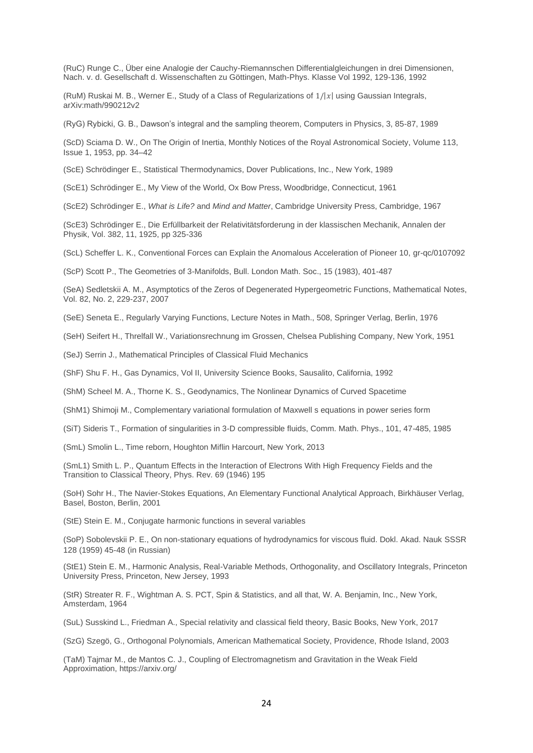(RuC) Runge C., Über eine Analogie der Cauchy-Riemannschen Differentialgleichungen in drei Dimensionen, Nach. v. d. Gesellschaft d. Wissenschaften zu Göttingen, Math-Phys. Klasse Vol 1992, 129-136, 1992

(RuM) Ruskai M. B., Werner E., Study of a Class of Regularizations of  $1/|x|$  using Gaussian Integrals, arXiv:math/990212v2

(RyG) Rybicki, G. B., Dawson's integral and the sampling theorem, Computers in Physics, 3, 85-87, 1989

(ScD) Sciama D. W., On The Origin of Inertia, Monthly Notices of the Royal Astronomical Society, Volume 113, Issue 1, 1953, pp. 34–42

(ScE) Schrödinger E., Statistical Thermodynamics, Dover Publications, Inc., New York, 1989

(ScE1) Schrödinger E., My View of the World, Ox Bow Press, Woodbridge, Connecticut, 1961

(ScE2) Schrödinger E., *What is Life?* and *Mind and Matter*, Cambridge University Press, Cambridge, 1967

(ScE3) Schrödinger E., Die Erfüllbarkeit der Relativitätsforderung in der klassischen Mechanik, Annalen der Physik, Vol. 382, 11, 1925, pp 325-336

(ScL) Scheffer L. K., Conventional Forces can Explain the Anomalous Acceleration of Pioneer 10, [gr-qc/0107092](https://arxiv.org/abs/gr-qc/0107092)

(ScP) Scott P., The Geometries of 3-Manifolds, Bull. London Math. Soc., 15 (1983), 401-487

(SeA) Sedletskii A. M., Asymptotics of the Zeros of Degenerated Hypergeometric Functions, Mathematical Notes, Vol. 82, No. 2, 229-237, 2007

(SeE) Seneta E., Regularly Varying Functions, Lecture Notes in Math., 508, Springer Verlag, Berlin, 1976

(SeH) Seifert H., Threlfall W., Variationsrechnung im Grossen, Chelsea Publishing Company, New York, 1951

(SeJ) Serrin J., Mathematical Principles of Classical Fluid Mechanics

(ShF) Shu F. H., Gas Dynamics, Vol II, University Science Books, Sausalito, California, 1992

(ShM) Scheel M. A., Thorne K. S., Geodynamics, The Nonlinear Dynamics of Curved Spacetime

(ShM1) Shimoji M., Complementary variational formulation of Maxwell s equations in power series form

(SiT) Sideris T., Formation of singularities in 3-D compressible fluids, Comm. Math. Phys., 101, 47-485, 1985

(SmL) Smolin L., Time reborn, Houghton Miflin Harcourt, New York, 2013

(SmL1) Smith L. P., Quantum Effects in the Interaction of Electrons With High Frequency Fields and the Transition to Classical Theory, Phys. Rev. 69 (1946) 195

(SoH) Sohr H., The Navier-Stokes Equations, An Elementary Functional Analytical Approach, Birkhäuser Verlag, Basel, Boston, Berlin, 2001

(StE) Stein E. M., Conjugate harmonic functions in several variables

(SoP) Sobolevskii P. E., On non-stationary equations of hydrodynamics for viscous fluid. Dokl. Akad. Nauk SSSR 128 (1959) 45-48 (in Russian)

(StE1) Stein E. M., Harmonic Analysis, Real-Variable Methods, Orthogonality, and Oscillatory Integrals, Princeton University Press, Princeton, New Jersey, 1993

(StR) Streater R. F., Wightman A. S. PCT, Spin & Statistics, and all that, W. A. Benjamin, Inc., New York, Amsterdam, 1964

(SuL) Susskind L., Friedman A., Special relativity and classical field theory, Basic Books, New York, 2017

(SzG) Szegö, G., Orthogonal Polynomials, American Mathematical Society, Providence, Rhode Island, 2003

(TaM) Tajmar M., de Mantos C. J., Coupling of Electromagnetism and Gravitation in the Weak Field Approximation, <https://arxiv.org/>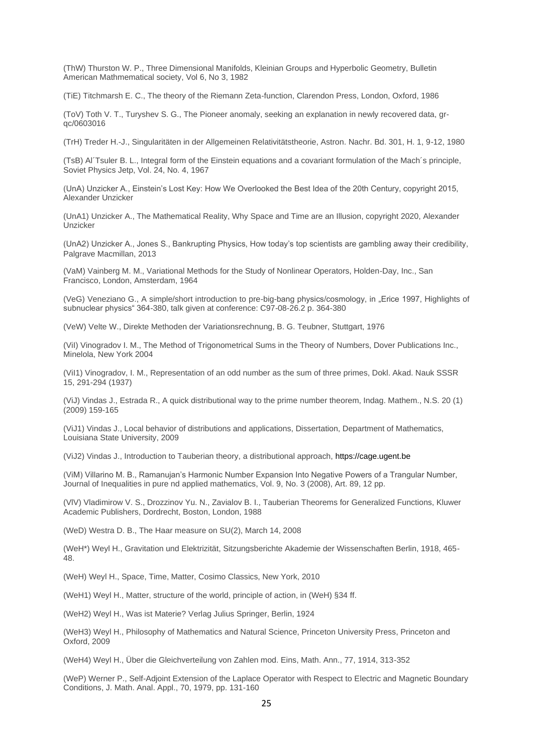(ThW) Thurston W. P., Three Dimensional Manifolds, Kleinian Groups and Hyperbolic Geometry, Bulletin American Mathmematical society, Vol 6, No 3, 1982

(TiE) Titchmarsh E. C., The theory of the Riemann Zeta-function, Clarendon Press, London, Oxford, 1986

(ToV) Toth V. T., Turyshev S. G., The Pioneer anomaly, seeking an explanation in newly recovered data, [gr](https://arxiv.org/abs/gr-qc/0603016)[qc/0603016](https://arxiv.org/abs/gr-qc/0603016)

(TrH) Treder H.-J., Singularitäten in der Allgemeinen Relativitätstheorie, Astron. Nachr. Bd. 301, H. 1, 9-12, 1980

(TsB) Al´Tsuler B. L., Integral form of the Einstein equations and a covariant formulation of the Mach´s principle, Soviet Physics Jetp, Vol. 24, No. 4, 1967

(UnA) Unzicker A., Einstein's Lost Key: How We Overlooked the Best Idea of the 20th Century, copyright 2015, Alexander Unzicker

(UnA1) Unzicker A., The Mathematical Reality, Why Space and Time are an Illusion, copyright 2020, Alexander Unzicker

(UnA2) Unzicker A., Jones S., Bankrupting Physics, How today's top scientists are gambling away their credibility, Palgrave Macmillan, 2013

(VaM) Vainberg M. M., Variational Methods for the Study of Nonlinear Operators, Holden-Day, Inc., San Francisco, London, Amsterdam, 1964

(VeG) Veneziano G., A simple/short introduction to pre-big-bang physics/cosmology, in "Erice 1997, Highlights of subnuclear physics" 364-380, talk given at conference: C97-08-26.2 p. 364-380

(VeW) Velte W., Direkte Methoden der Variationsrechnung, B. G. Teubner, Stuttgart, 1976

(ViI) Vinogradov I. M., The Method of Trigonometrical Sums in the Theory of Numbers, Dover Publications Inc., Minelola, New York 2004

(ViI1) Vinogradov, I. M., Representation of an odd number as the sum of three primes, Dokl. Akad. Nauk SSSR 15, 291-294 (1937)

(ViJ) Vindas J., Estrada R., A quick distributional way to the prime number theorem, Indag. Mathem., N.S. 20 (1) (2009) 159-165

(ViJ1) Vindas J., Local behavior of distributions and applications, Dissertation, Department of Mathematics, Louisiana State University, 2009

(ViJ2) Vindas J., Introduction to Tauberian theory, a distributional approach[, https://cage.ugent.be](https://cage.ugent.be/)

(ViM) Villarino M. B., Ramanujan's Harmonic Number Expansion Into Negative Powers of a Trangular Number, Journal of Inequalities in pure nd applied mathematics, Vol. 9, No. 3 (2008), Art. 89, 12 pp.

(VlV) Vladimirow V. S., Drozzinov Yu. N., Zavialov B. I., Tauberian Theorems for Generalized Functions, Kluwer Academic Publishers, Dordrecht, Boston, London, 1988

(WeD) Westra D. B., The Haar measure on SU(2), March 14, 2008

(WeH\*) Weyl H., Gravitation und Elektrizität, Sitzungsberichte Akademie der Wissenschaften Berlin, 1918, 465- 48.

(WeH) Weyl H., Space, Time, Matter, Cosimo Classics, New York, 2010

(WeH1) Weyl H., Matter, structure of the world, principle of action, in (WeH) §34 ff.

(WeH2) Weyl H., Was ist Materie? Verlag Julius Springer, Berlin, 1924

(WeH3) Weyl H., Philosophy of Mathematics and Natural Science, Princeton University Press, Princeton and Oxford, 2009

(WeH4) Weyl H., Über die Gleichverteilung von Zahlen mod. Eins, Math. Ann., 77, 1914, 313-352

(WeP) Werner P., Self-Adjoint Extension of the Laplace Operator with Respect to Electric and Magnetic Boundary Conditions, J. Math. Anal. Appl., 70, 1979, pp. 131-160